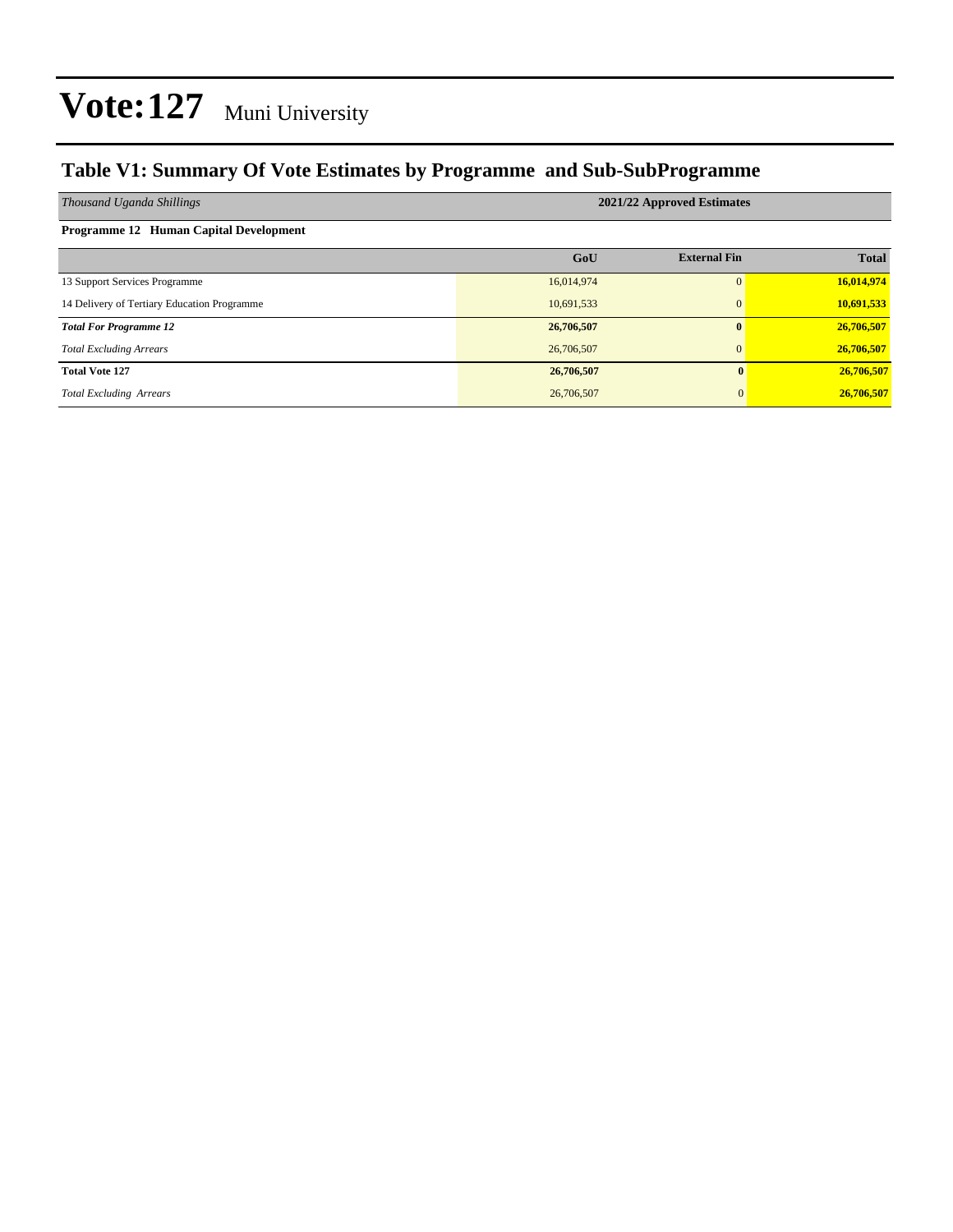#### **Table V1: Summary Of Vote Estimates by Programme and Sub-SubProgramme**

| Thousand Uganda Shillings                   | 2021/22 Approved Estimates |                     |              |  |  |  |  |  |  |  |  |
|---------------------------------------------|----------------------------|---------------------|--------------|--|--|--|--|--|--|--|--|
| Programme 12 Human Capital Development      |                            |                     |              |  |  |  |  |  |  |  |  |
|                                             | GoU                        | <b>External Fin</b> | <b>Total</b> |  |  |  |  |  |  |  |  |
| 13 Support Services Programme               | 16,014,974                 | $\Omega$            | 16,014,974   |  |  |  |  |  |  |  |  |
| 14 Delivery of Tertiary Education Programme | 10,691,533                 | $\mathbf{0}$        | 10,691,533   |  |  |  |  |  |  |  |  |
| <b>Total For Programme 12</b>               | 26,706,507                 | $\mathbf{0}$        | 26,706,507   |  |  |  |  |  |  |  |  |
| <b>Total Excluding Arrears</b>              | 26,706,507                 | $\mathbf{0}$        | 26,706,507   |  |  |  |  |  |  |  |  |
| <b>Total Vote 127</b>                       | 26,706,507                 | 0                   | 26,706,507   |  |  |  |  |  |  |  |  |
| <b>Total Excluding Arrears</b>              | 26,706,507                 | 0                   | 26,706,507   |  |  |  |  |  |  |  |  |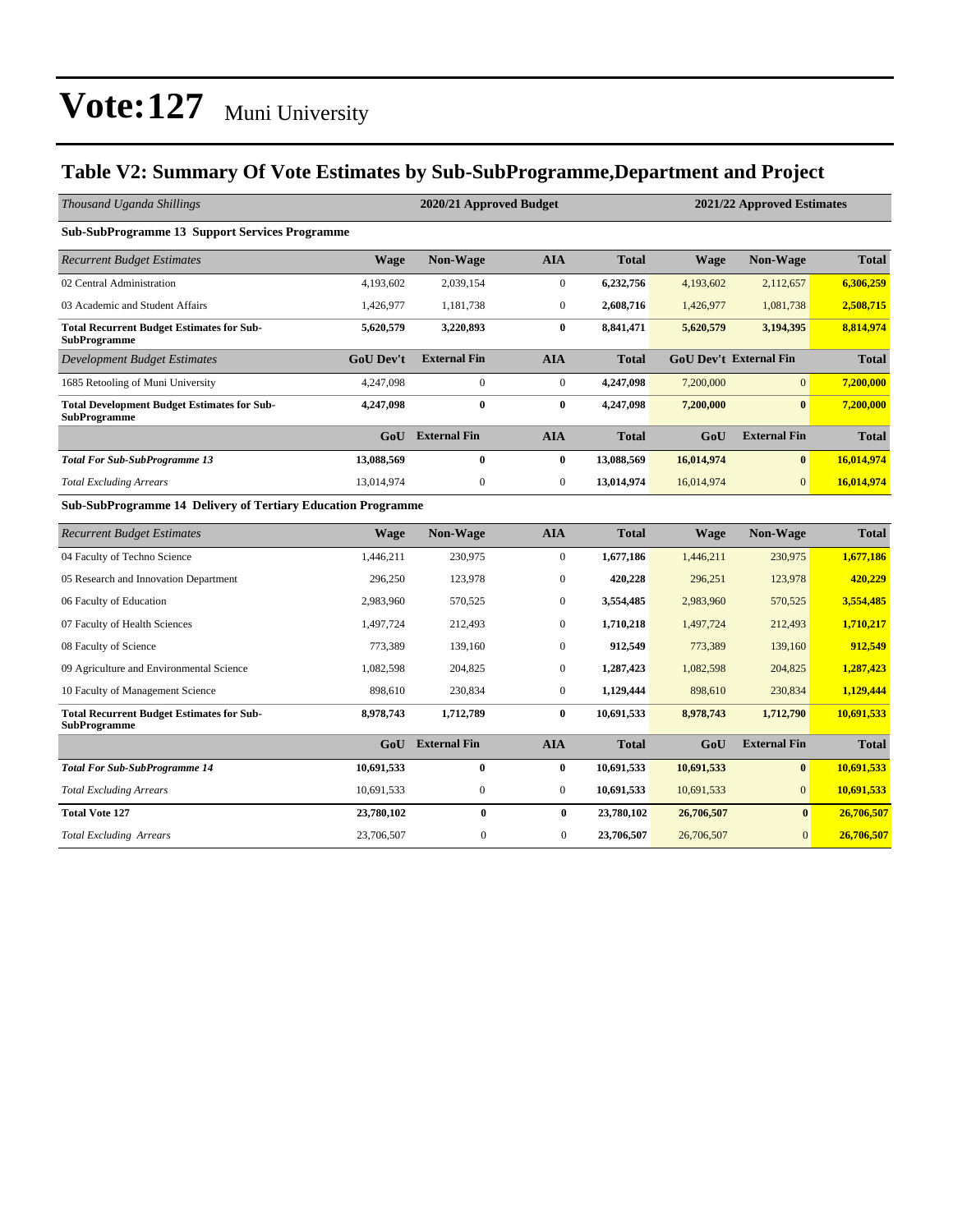#### **Table V2: Summary Of Vote Estimates by Sub-SubProgramme,Department and Project**

| Thousand Uganda Shillings                                                 |                  | 2020/21 Approved Budget |                  |              |             | 2021/22 Approved Estimates    |              |  |  |
|---------------------------------------------------------------------------|------------------|-------------------------|------------------|--------------|-------------|-------------------------------|--------------|--|--|
| <b>Sub-SubProgramme 13 Support Services Programme</b>                     |                  |                         |                  |              |             |                               |              |  |  |
| <b>Recurrent Budget Estimates</b>                                         | <b>Wage</b>      | Non-Wage                | <b>AIA</b>       | <b>Total</b> | <b>Wage</b> | Non-Wage                      | <b>Total</b> |  |  |
| 02 Central Administration                                                 | 4,193,602        | 2,039,154               | $\boldsymbol{0}$ | 6,232,756    | 4,193,602   | 2,112,657                     | 6,306,259    |  |  |
| 03 Academic and Student Affairs                                           | 1,426,977        | 1,181,738               | $\overline{0}$   | 2,608,716    | 1,426,977   | 1,081,738                     | 2,508,715    |  |  |
| <b>Total Recurrent Budget Estimates for Sub-</b><br><b>SubProgramme</b>   | 5,620,579        | 3,220,893               | $\bf{0}$         | 8,841,471    | 5,620,579   | 3,194,395                     | 8,814,974    |  |  |
| <b>Development Budget Estimates</b>                                       | <b>GoU Dev't</b> | <b>External Fin</b>     | <b>AIA</b>       | <b>Total</b> |             | <b>GoU Dev't External Fin</b> | <b>Total</b> |  |  |
| 1685 Retooling of Muni University                                         | 4,247,098        | $\boldsymbol{0}$        | $\boldsymbol{0}$ | 4,247,098    | 7,200,000   | $\overline{0}$                | 7,200,000    |  |  |
| <b>Total Development Budget Estimates for Sub-</b><br><b>SubProgramme</b> | 4,247,098        | $\bf{0}$                | $\bf{0}$         | 4,247,098    | 7,200,000   | $\mathbf{0}$                  | 7,200,000    |  |  |
|                                                                           | G <sub>0</sub> U | <b>External Fin</b>     | <b>AIA</b>       | <b>Total</b> | GoU         | <b>External Fin</b>           | <b>Total</b> |  |  |
| <b>Total For Sub-SubProgramme 13</b>                                      | 13,088,569       | $\bf{0}$                | 0                | 13,088,569   | 16,014,974  | $\bf{0}$                      | 16,014,974   |  |  |
| <b>Total Excluding Arrears</b>                                            | 13,014,974       | $\boldsymbol{0}$        | $\boldsymbol{0}$ | 13,014,974   | 16,014,974  | $\mathbf{0}$                  | 16,014,974   |  |  |
| Sub-SubProgramme 14 Delivery of Tertiary Education Programme              |                  |                         |                  |              |             |                               |              |  |  |
| <b>Recurrent Budget Estimates</b>                                         | <b>Wage</b>      | Non-Wage                | <b>AIA</b>       | <b>Total</b> | <b>Wage</b> | Non-Wage                      | <b>Total</b> |  |  |
| 04 Faculty of Techno Science                                              | 1,446,211        | 230,975                 | $\boldsymbol{0}$ | 1,677,186    | 1,446,211   | 230,975                       | 1,677,186    |  |  |
| 05 Research and Innovation Department                                     | 296,250          | 123,978                 | $\mathbf{0}$     | 420,228      | 296,251     | 123,978                       | 420,229      |  |  |
| 06 Faculty of Education                                                   | 2,983,960        | 570,525                 | $\boldsymbol{0}$ | 3,554,485    | 2,983,960   | 570,525                       | 3,554,485    |  |  |
| 07 Faculty of Health Sciences                                             | 1,497,724        | 212,493                 | $\mathbf{0}$     | 1,710,218    | 1,497,724   | 212,493                       | 1,710,217    |  |  |
| 08 Faculty of Science                                                     | 773,389          | 139,160                 | $\overline{0}$   | 912,549      | 773,389     | 139,160                       | 912,549      |  |  |
| 09 Agriculture and Environmental Science                                  | 1,082,598        | 204,825                 | $\boldsymbol{0}$ | 1,287,423    | 1,082,598   | 204,825                       | 1,287,423    |  |  |
| 10 Faculty of Management Science                                          | 898,610          | 230,834                 | $\boldsymbol{0}$ | 1,129,444    | 898,610     | 230,834                       | 1,129,444    |  |  |
| <b>Total Recurrent Budget Estimates for Sub-</b><br><b>SubProgramme</b>   | 8,978,743        | 1,712,789               | $\bf{0}$         | 10,691,533   | 8,978,743   | 1,712,790                     | 10,691,533   |  |  |
|                                                                           | GoU              | <b>External Fin</b>     | <b>AIA</b>       | <b>Total</b> | GoU         | <b>External Fin</b>           | <b>Total</b> |  |  |
| <b>Total For Sub-SubProgramme 14</b>                                      | 10,691,533       | $\bf{0}$                | $\bf{0}$         | 10,691,533   | 10,691,533  | $\bf{0}$                      | 10,691,533   |  |  |
| <b>Total Excluding Arrears</b>                                            | 10,691,533       | $\mathbf{0}$            | $\overline{0}$   | 10,691,533   | 10,691,533  | $\overline{0}$                | 10,691,533   |  |  |
| <b>Total Vote 127</b>                                                     | 23,780,102       | $\bf{0}$                | $\bf{0}$         | 23,780,102   | 26,706,507  | $\bf{0}$                      | 26,706,507   |  |  |
| <b>Total Excluding Arrears</b>                                            | 23,706,507       | $\mathbf{0}$            | $\mathbf{0}$     | 23,706,507   | 26,706,507  | $\boldsymbol{0}$              | 26,706,507   |  |  |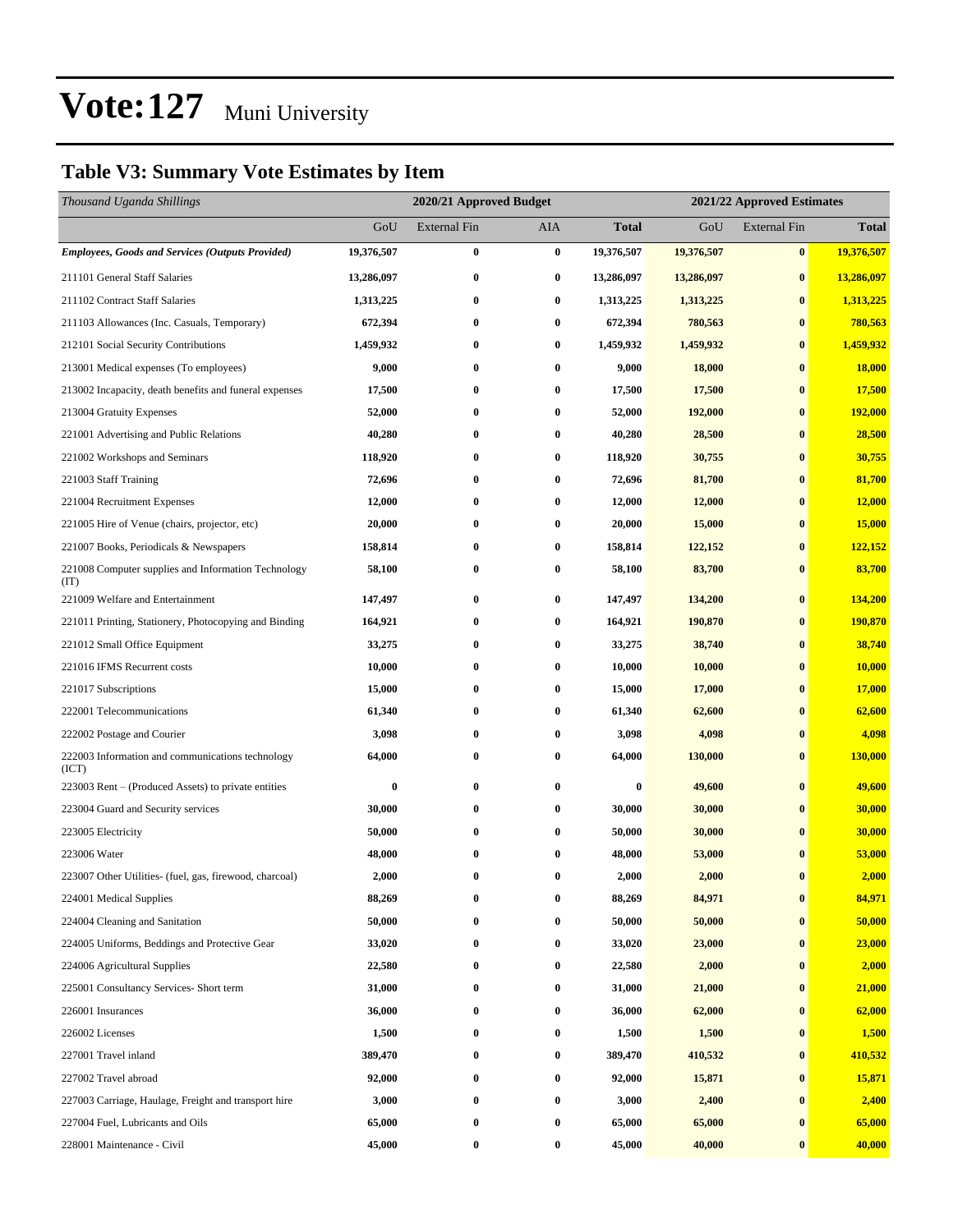### **Table V3: Summary Vote Estimates by Item**

| Thousand Uganda Shillings                                   |            | 2020/21 Approved Budget |          |            | 2021/22 Approved Estimates |                     |              |
|-------------------------------------------------------------|------------|-------------------------|----------|------------|----------------------------|---------------------|--------------|
|                                                             | GoU        | <b>External Fin</b>     | AIA      | Total      | GoU                        | <b>External Fin</b> | <b>Total</b> |
| <b>Employees, Goods and Services (Outputs Provided)</b>     | 19,376,507 | $\bf{0}$                | $\bf{0}$ | 19,376,507 | 19,376,507                 | $\bf{0}$            | 19,376,507   |
| 211101 General Staff Salaries                               | 13,286,097 | $\bf{0}$                | $\bf{0}$ | 13,286,097 | 13,286,097                 | $\bf{0}$            | 13,286,097   |
| 211102 Contract Staff Salaries                              | 1,313,225  | 0                       | $\bf{0}$ | 1,313,225  | 1,313,225                  | $\bf{0}$            | 1,313,225    |
| 211103 Allowances (Inc. Casuals, Temporary)                 | 672,394    | $\bf{0}$                | $\bf{0}$ | 672,394    | 780,563                    | $\bf{0}$            | 780,563      |
| 212101 Social Security Contributions                        | 1,459,932  | 0                       | $\bf{0}$ | 1,459,932  | 1,459,932                  | $\bf{0}$            | 1,459,932    |
| 213001 Medical expenses (To employees)                      | 9,000      | $\bf{0}$                | $\bf{0}$ | 9,000      | 18,000                     | $\bf{0}$            | 18,000       |
| 213002 Incapacity, death benefits and funeral expenses      | 17,500     | $\bf{0}$                | 0        | 17,500     | 17,500                     | $\bf{0}$            | 17,500       |
| 213004 Gratuity Expenses                                    | 52,000     | 0                       | $\bf{0}$ | 52,000     | 192,000                    | $\bf{0}$            | 192,000      |
| 221001 Advertising and Public Relations                     | 40,280     | $\bf{0}$                | $\bf{0}$ | 40,280     | 28,500                     | $\bf{0}$            | 28,500       |
| 221002 Workshops and Seminars                               | 118,920    | 0                       | $\bf{0}$ | 118,920    | 30,755                     | $\bf{0}$            | 30,755       |
| 221003 Staff Training                                       | 72,696     | $\bf{0}$                | $\bf{0}$ | 72,696     | 81,700                     | $\bf{0}$            | 81,700       |
| 221004 Recruitment Expenses                                 | 12,000     | $\bf{0}$                | 0        | 12,000     | 12,000                     | $\bf{0}$            | 12,000       |
| 221005 Hire of Venue (chairs, projector, etc)               | 20,000     | 0                       | $\bf{0}$ | 20,000     | 15,000                     | $\bf{0}$            | 15,000       |
| 221007 Books, Periodicals & Newspapers                      | 158,814    | 0                       | $\bf{0}$ | 158,814    | 122,152                    | $\bf{0}$            | 122,152      |
| 221008 Computer supplies and Information Technology<br>(TT) | 58,100     | $\bf{0}$                | $\bf{0}$ | 58,100     | 83,700                     | $\bf{0}$            | 83,700       |
| 221009 Welfare and Entertainment                            | 147,497    | $\bf{0}$                | $\bf{0}$ | 147,497    | 134,200                    | $\bf{0}$            | 134,200      |
| 221011 Printing, Stationery, Photocopying and Binding       | 164,921    | 0                       | $\bf{0}$ | 164,921    | 190,870                    | $\bf{0}$            | 190,870      |
| 221012 Small Office Equipment                               | 33,275     | $\bf{0}$                | $\bf{0}$ | 33,275     | 38,740                     | $\bf{0}$            | 38,740       |
| 221016 IFMS Recurrent costs                                 | 10,000     | 0                       | $\bf{0}$ | 10,000     | 10,000                     | $\bf{0}$            | 10,000       |
| 221017 Subscriptions                                        | 15,000     | $\bf{0}$                | 0        | 15,000     | 17,000                     | $\bf{0}$            | 17,000       |
| 222001 Telecommunications                                   | 61,340     | 0                       | $\bf{0}$ | 61,340     | 62,600                     | $\bf{0}$            | 62,600       |
| 222002 Postage and Courier                                  | 3,098      | 0                       | $\bf{0}$ | 3,098      | 4,098                      | $\bf{0}$            | 4,098        |
| 222003 Information and communications technology<br>(ICT)   | 64,000     | $\bf{0}$                | $\bf{0}$ | 64,000     | 130,000                    | $\bf{0}$            | 130,000      |
| 223003 Rent – (Produced Assets) to private entities         | $\bf{0}$   | $\bf{0}$                | $\bf{0}$ | $\bf{0}$   | 49,600                     | $\bf{0}$            | 49,600       |
| 223004 Guard and Security services                          | 30,000     | 0                       | 0        | 30,000     | 30,000                     | $\bf{0}$            | 30,000       |
| 223005 Electricity                                          | 50,000     | 0                       | $\bf{0}$ | 50,000     | 30,000                     | $\bf{0}$            | 30,000       |
| 223006 Water                                                | 48,000     | 0                       | $\bf{0}$ | 48,000     | 53,000                     | $\bf{0}$            | 53,000       |
| 223007 Other Utilities- (fuel, gas, firewood, charcoal)     | 2,000      | $\bf{0}$                | $\bf{0}$ | 2,000      | 2,000                      | $\bf{0}$            | 2,000        |
| 224001 Medical Supplies                                     | 88,269     | $\bf{0}$                | $\bf{0}$ | 88,269     | 84,971                     | $\bf{0}$            | 84,971       |
| 224004 Cleaning and Sanitation                              | 50,000     | $\bf{0}$                | $\bf{0}$ | 50,000     | 50,000                     | $\bf{0}$            | 50,000       |
| 224005 Uniforms, Beddings and Protective Gear               | 33,020     | $\bf{0}$                | $\bf{0}$ | 33,020     | 23,000                     | $\bf{0}$            | 23,000       |
| 224006 Agricultural Supplies                                | 22,580     | $\bf{0}$                | $\bf{0}$ | 22,580     | 2,000                      | $\bf{0}$            | 2,000        |
| 225001 Consultancy Services- Short term                     | 31,000     | $\bf{0}$                | $\bf{0}$ | 31,000     | 21,000                     | $\bf{0}$            | 21,000       |
| 226001 Insurances                                           | 36,000     | $\bf{0}$                | $\bf{0}$ | 36,000     | 62,000                     | $\bf{0}$            | 62,000       |
| 226002 Licenses                                             | 1,500      | $\bf{0}$                | $\bf{0}$ | 1,500      | 1,500                      | $\bf{0}$            | 1,500        |
| 227001 Travel inland                                        | 389,470    | $\bf{0}$                | $\bf{0}$ | 389,470    | 410,532                    | $\bf{0}$            | 410,532      |
| 227002 Travel abroad                                        | 92,000     | $\bf{0}$                | $\bf{0}$ | 92,000     | 15,871                     | $\bf{0}$            | 15,871       |
| 227003 Carriage, Haulage, Freight and transport hire        | 3,000      | $\bf{0}$                | $\bf{0}$ | 3,000      | 2,400                      | $\bf{0}$            | 2,400        |
| 227004 Fuel, Lubricants and Oils                            | 65,000     | $\bf{0}$                | $\bf{0}$ | 65,000     | 65,000                     | $\bf{0}$            | 65,000       |
| 228001 Maintenance - Civil                                  | 45,000     | $\bf{0}$                | $\bf{0}$ | 45,000     | 40,000                     | $\bf{0}$            | 40,000       |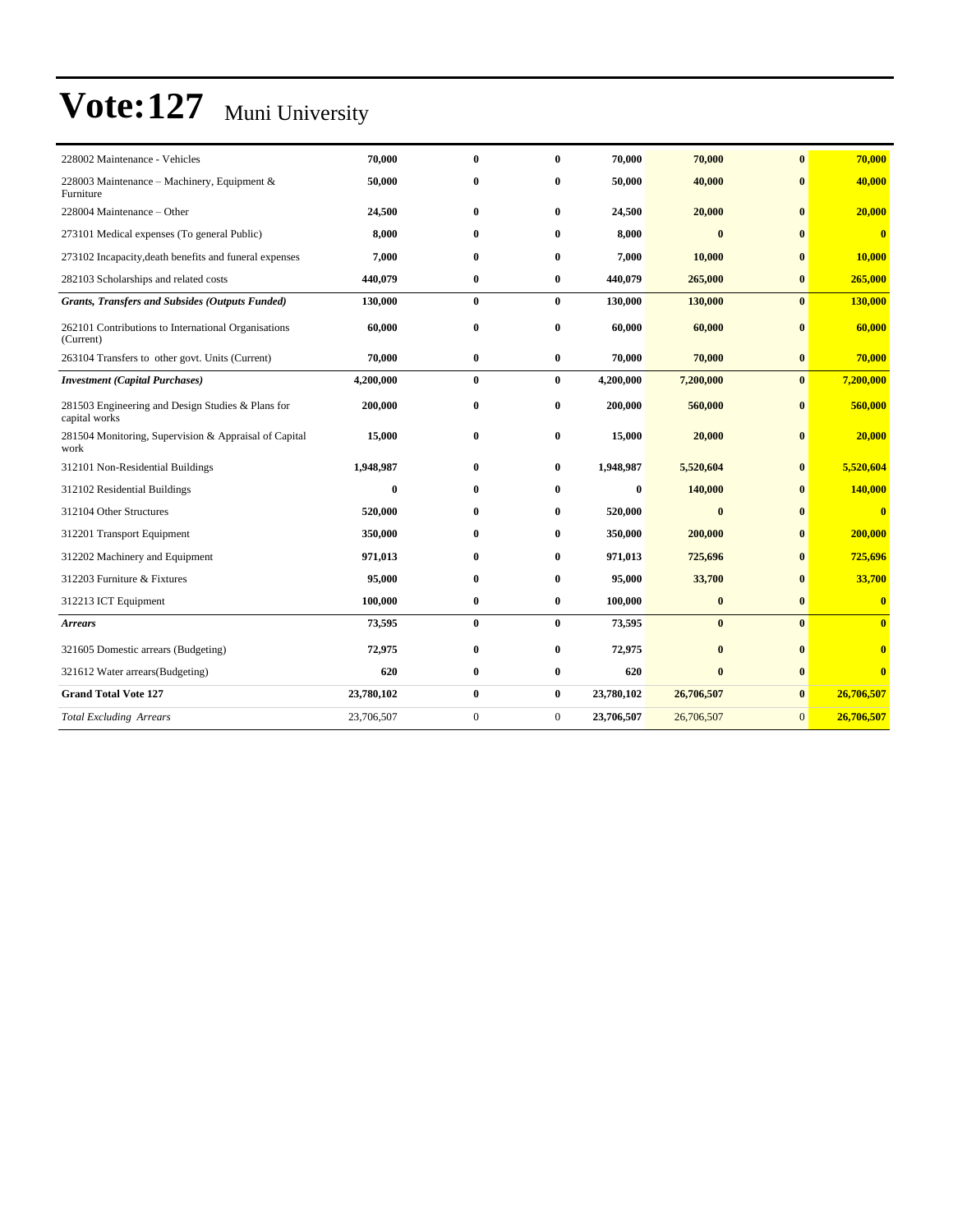| 228002 Maintenance - Vehicles                                      | 70,000     | $\mathbf{0}$     | 0                | 70,000     | 70,000       | $\mathbf{0}$   | 70,000                  |
|--------------------------------------------------------------------|------------|------------------|------------------|------------|--------------|----------------|-------------------------|
| 228003 Maintenance – Machinery, Equipment &<br>Furniture           | 50,000     | $\bf{0}$         | 0                | 50,000     | 40,000       | $\mathbf{0}$   | 40,000                  |
| 228004 Maintenance - Other                                         | 24,500     | $\bf{0}$         | $\bf{0}$         | 24,500     | 20,000       | $\mathbf{0}$   | 20,000                  |
| 273101 Medical expenses (To general Public)                        | 8,000      | $\mathbf{0}$     | 0                | 8,000      | $\mathbf{0}$ | $\mathbf{0}$   | $\overline{0}$          |
| 273102 Incapacity, death benefits and funeral expenses             | 7,000      | $\bf{0}$         | 0                | 7,000      | 10,000       | $\mathbf{0}$   | 10,000                  |
| 282103 Scholarships and related costs                              | 440,079    | $\bf{0}$         | $\bf{0}$         | 440,079    | 265,000      | $\bf{0}$       | 265,000                 |
| Grants, Transfers and Subsides (Outputs Funded)                    | 130,000    | $\bf{0}$         | $\bf{0}$         | 130,000    | 130,000      | $\bf{0}$       | 130,000                 |
| 262101 Contributions to International Organisations<br>(Current)   | 60,000     | $\bf{0}$         | $\bf{0}$         | 60,000     | 60,000       | $\mathbf{0}$   | 60,000                  |
| 263104 Transfers to other govt. Units (Current)                    | 70,000     | $\bf{0}$         | $\bf{0}$         | 70,000     | 70,000       | $\bf{0}$       | 70,000                  |
| <b>Investment</b> (Capital Purchases)                              | 4,200,000  | $\bf{0}$         | $\bf{0}$         | 4,200,000  | 7,200,000    | $\bf{0}$       | 7,200,000               |
| 281503 Engineering and Design Studies & Plans for<br>capital works | 200,000    | $\bf{0}$         | 0                | 200,000    | 560,000      | $\bf{0}$       | 560,000                 |
| 281504 Monitoring, Supervision & Appraisal of Capital<br>work      | 15,000     | $\bf{0}$         | $\bf{0}$         | 15,000     | 20,000       | $\mathbf{0}$   | 20,000                  |
| 312101 Non-Residential Buildings                                   | 1,948,987  | $\bf{0}$         | $\bf{0}$         | 1,948,987  | 5,520,604    | $\bf{0}$       | 5,520,604               |
| 312102 Residential Buildings                                       | $\bf{0}$   | $\mathbf{0}$     | 0                | $\bf{0}$   | 140,000      | $\mathbf{0}$   | 140,000                 |
| 312104 Other Structures                                            | 520,000    | $\bf{0}$         | 0                | 520,000    | $\bf{0}$     | $\bf{0}$       | $\overline{\mathbf{0}}$ |
| 312201 Transport Equipment                                         | 350,000    | $\bf{0}$         | 0                | 350,000    | 200,000      | $\bf{0}$       | 200,000                 |
| 312202 Machinery and Equipment                                     | 971,013    | $\mathbf{0}$     | 0                | 971,013    | 725,696      | $\mathbf{0}$   | 725,696                 |
| 312203 Furniture & Fixtures                                        | 95,000     | $\bf{0}$         | 0                | 95,000     | 33,700       | $\mathbf{0}$   | 33,700                  |
| 312213 ICT Equipment                                               | 100,000    | $\bf{0}$         | $\bf{0}$         | 100,000    | $\bf{0}$     | $\bf{0}$       | $\bf{0}$                |
| <b>Arrears</b>                                                     | 73,595     | $\bf{0}$         | $\bf{0}$         | 73,595     | $\mathbf{0}$ | $\mathbf{0}$   | $\mathbf{0}$            |
| 321605 Domestic arrears (Budgeting)                                | 72,975     | $\bf{0}$         | 0                | 72,975     | $\bf{0}$     | $\mathbf{0}$   |                         |
| 321612 Water arrears(Budgeting)                                    | 620        | $\bf{0}$         | $\bf{0}$         | 620        | $\bf{0}$     | $\bf{0}$       | $\overline{\mathbf{0}}$ |
| <b>Grand Total Vote 127</b>                                        | 23,780,102 | $\bf{0}$         | $\bf{0}$         | 23,780,102 | 26,706,507   | $\bf{0}$       | 26,706,507              |
| <b>Total Excluding Arrears</b>                                     | 23,706,507 | $\boldsymbol{0}$ | $\boldsymbol{0}$ | 23,706,507 | 26,706,507   | $\overline{0}$ | 26,706,507              |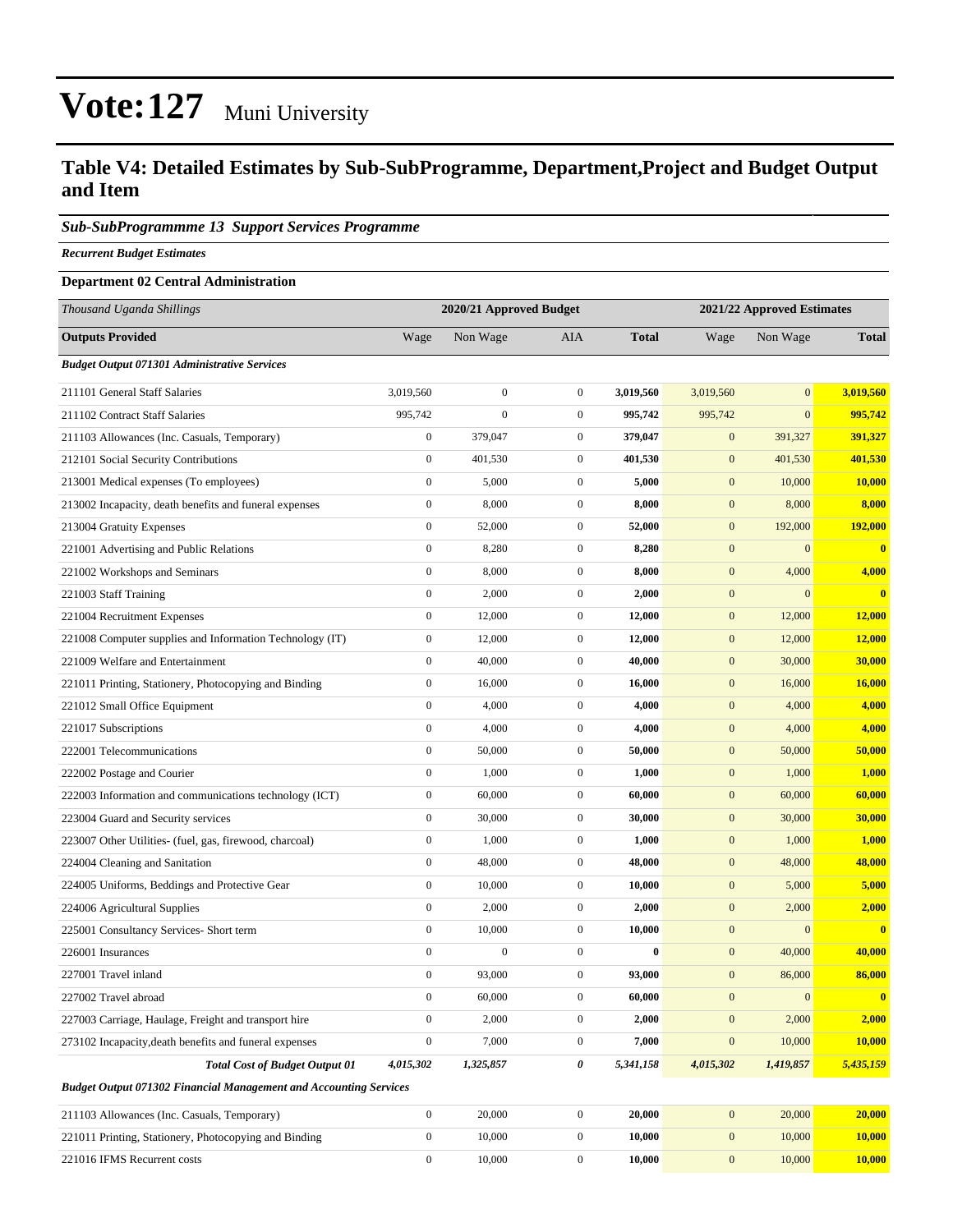#### **Table V4: Detailed Estimates by Sub-SubProgramme, Department,Project and Budget Output and Item**

#### *Sub-SubProgrammme 13 Support Services Programme*

*Recurrent Budget Estimates*

#### **Department 02 Central Administration**

| Thousand Uganda Shillings                                                |                  | 2020/21 Approved Budget |                  | 2021/22 Approved Estimates |                  |                  |               |
|--------------------------------------------------------------------------|------------------|-------------------------|------------------|----------------------------|------------------|------------------|---------------|
| <b>Outputs Provided</b>                                                  | Wage             | Non Wage                | AIA              | <b>Total</b>               | Wage             | Non Wage         | <b>Total</b>  |
| <b>Budget Output 071301 Administrative Services</b>                      |                  |                         |                  |                            |                  |                  |               |
| 211101 General Staff Salaries                                            | 3,019,560        | $\boldsymbol{0}$        | $\overline{0}$   | 3,019,560                  | 3,019,560        | $\mathbf{0}$     | 3,019,560     |
| 211102 Contract Staff Salaries                                           | 995,742          | $\boldsymbol{0}$        | $\mathbf{0}$     | 995,742                    | 995,742          | $\mathbf{0}$     | 995,742       |
| 211103 Allowances (Inc. Casuals, Temporary)                              | $\boldsymbol{0}$ | 379,047                 | $\mathbf{0}$     | 379,047                    | $\mathbf{0}$     | 391,327          | 391,327       |
| 212101 Social Security Contributions                                     | $\boldsymbol{0}$ | 401,530                 | $\mathbf{0}$     | 401,530                    | $\mathbf{0}$     | 401,530          | 401,530       |
| 213001 Medical expenses (To employees)                                   | $\boldsymbol{0}$ | 5,000                   | $\mathbf{0}$     | 5,000                      | $\mathbf{0}$     | 10,000           | 10,000        |
| 213002 Incapacity, death benefits and funeral expenses                   | $\boldsymbol{0}$ | 8,000                   | $\overline{0}$   | 8,000                      | $\mathbf{0}$     | 8,000            | 8,000         |
| 213004 Gratuity Expenses                                                 | $\boldsymbol{0}$ | 52,000                  | $\overline{0}$   | 52,000                     | $\mathbf{0}$     | 192,000          | 192,000       |
| 221001 Advertising and Public Relations                                  | $\boldsymbol{0}$ | 8,280                   | $\mathbf{0}$     | 8,280                      | $\mathbf{0}$     | $\mathbf{0}$     | $\bf{0}$      |
| 221002 Workshops and Seminars                                            | $\boldsymbol{0}$ | 8,000                   | $\mathbf{0}$     | 8,000                      | $\mathbf{0}$     | 4,000            | 4,000         |
| 221003 Staff Training                                                    | $\boldsymbol{0}$ | 2,000                   | $\mathbf{0}$     | 2,000                      | $\mathbf{0}$     | $\mathbf{0}$     | $\bf{0}$      |
| 221004 Recruitment Expenses                                              | $\boldsymbol{0}$ | 12,000                  | $\mathbf{0}$     | 12,000                     | $\mathbf{0}$     | 12,000           | 12,000        |
| 221008 Computer supplies and Information Technology (IT)                 | $\boldsymbol{0}$ | 12,000                  | $\mathbf{0}$     | 12,000                     | $\mathbf{0}$     | 12,000           | 12,000        |
| 221009 Welfare and Entertainment                                         | $\boldsymbol{0}$ | 40,000                  | $\mathbf{0}$     | 40,000                     | $\mathbf{0}$     | 30,000           | 30,000        |
| 221011 Printing, Stationery, Photocopying and Binding                    | $\boldsymbol{0}$ | 16,000                  | $\overline{0}$   | 16,000                     | $\mathbf{0}$     | 16,000           | <b>16,000</b> |
| 221012 Small Office Equipment                                            | $\boldsymbol{0}$ | 4,000                   | $\mathbf{0}$     | 4,000                      | $\mathbf{0}$     | 4,000            | 4,000         |
| 221017 Subscriptions                                                     | $\boldsymbol{0}$ | 4,000                   | $\overline{0}$   | 4,000                      | $\mathbf{0}$     | 4,000            | 4,000         |
| 222001 Telecommunications                                                | $\boldsymbol{0}$ | 50,000                  | $\mathbf{0}$     | 50,000                     | $\mathbf{0}$     | 50,000           | 50,000        |
| 222002 Postage and Courier                                               | $\boldsymbol{0}$ | 1,000                   | $\mathbf{0}$     | 1,000                      | $\mathbf{0}$     | 1,000            | 1,000         |
| 222003 Information and communications technology (ICT)                   | $\boldsymbol{0}$ | 60,000                  | $\mathbf{0}$     | 60,000                     | $\mathbf{0}$     | 60,000           | 60,000        |
| 223004 Guard and Security services                                       | $\boldsymbol{0}$ | 30,000                  | $\mathbf{0}$     | 30,000                     | $\mathbf{0}$     | 30,000           | 30,000        |
| 223007 Other Utilities- (fuel, gas, firewood, charcoal)                  | $\boldsymbol{0}$ | 1,000                   | $\overline{0}$   | 1,000                      | $\mathbf{0}$     | 1,000            | 1,000         |
| 224004 Cleaning and Sanitation                                           | $\mathbf{0}$     | 48,000                  | $\overline{0}$   | 48,000                     | $\mathbf{0}$     | 48,000           | 48,000        |
| 224005 Uniforms, Beddings and Protective Gear                            | $\boldsymbol{0}$ | 10,000                  | $\mathbf{0}$     | 10,000                     | $\mathbf{0}$     | 5,000            | 5,000         |
| 224006 Agricultural Supplies                                             | $\boldsymbol{0}$ | 2,000                   | $\mathbf{0}$     | 2,000                      | $\mathbf{0}$     | 2,000            | 2,000         |
| 225001 Consultancy Services- Short term                                  | $\boldsymbol{0}$ | 10,000                  | $\mathbf{0}$     | 10,000                     | $\mathbf{0}$     | $\mathbf{0}$     | $\bf{0}$      |
| 226001 Insurances                                                        | $\boldsymbol{0}$ | $\boldsymbol{0}$        | $\boldsymbol{0}$ | $\bf{0}$                   | $\mathbf{0}$     | 40,000           | 40,000        |
| 227001 Travel inland                                                     | $\boldsymbol{0}$ | 93,000                  | $\mathbf{0}$     | 93,000                     | $\mathbf{0}$     | 86,000           | 86,000        |
| 227002 Travel abroad                                                     | $\boldsymbol{0}$ | 60,000                  | $\boldsymbol{0}$ | 60,000                     | $\mathbf{0}$     | $\boldsymbol{0}$ | $\bf{0}$      |
| 227003 Carriage, Haulage, Freight and transport hire                     | $\boldsymbol{0}$ | 2,000                   | $\overline{0}$   | 2,000                      | $\boldsymbol{0}$ | 2,000            | 2,000         |
| 273102 Incapacity, death benefits and funeral expenses                   | $\boldsymbol{0}$ | 7,000                   | $\boldsymbol{0}$ | 7,000                      | $\boldsymbol{0}$ | 10,000           | 10,000        |
| <b>Total Cost of Budget Output 01</b>                                    | 4,015,302        | 1,325,857               | 0                | 5,341,158                  | 4,015,302        | 1,419,857        | 5,435,159     |
| <b>Budget Output 071302 Financial Management and Accounting Services</b> |                  |                         |                  |                            |                  |                  |               |
| 211103 Allowances (Inc. Casuals, Temporary)                              | $\boldsymbol{0}$ | 20,000                  | $\boldsymbol{0}$ | 20,000                     | $\mathbf{0}$     | 20,000           | 20,000        |
| 221011 Printing, Stationery, Photocopying and Binding                    | $\boldsymbol{0}$ | 10,000                  | $\boldsymbol{0}$ | 10,000                     | $\mathbf{0}$     | 10,000           | 10,000        |
| 221016 IFMS Recurrent costs                                              | $\boldsymbol{0}$ | 10,000                  | $\boldsymbol{0}$ | 10,000                     | $\mathbf{0}$     | 10,000           | 10,000        |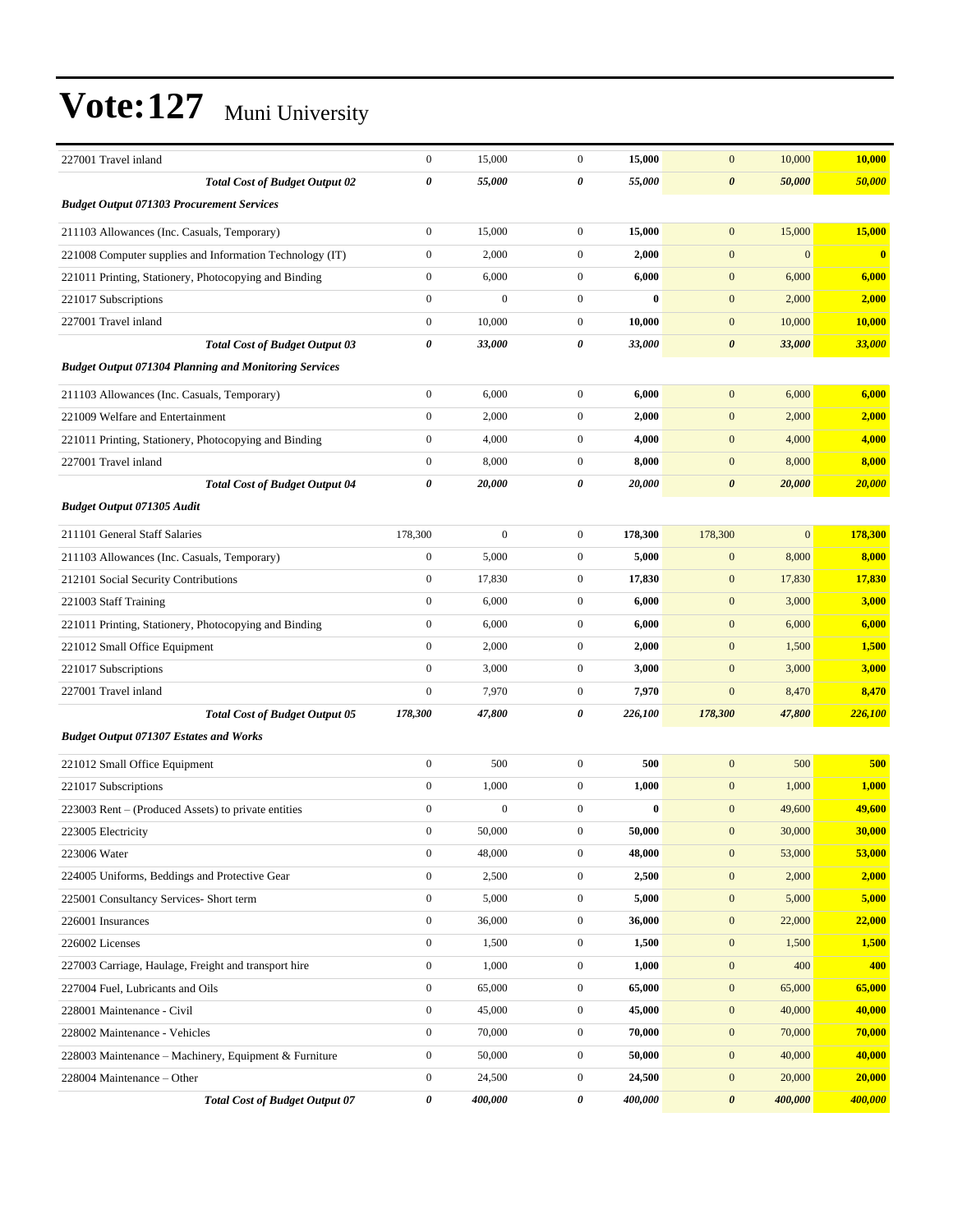| 227001 Travel inland                                         | $\boldsymbol{0}$ | 15,000           | $\mathbf{0}$     | 15,000       | $\mathbf{0}$          | 10,000       | 10,000   |
|--------------------------------------------------------------|------------------|------------------|------------------|--------------|-----------------------|--------------|----------|
| <b>Total Cost of Budget Output 02</b>                        | 0                | 55,000           | 0                | 55,000       | $\boldsymbol{\theta}$ | 50,000       | 50,000   |
| <b>Budget Output 071303 Procurement Services</b>             |                  |                  |                  |              |                       |              |          |
|                                                              |                  |                  |                  |              |                       |              |          |
| 211103 Allowances (Inc. Casuals, Temporary)                  | $\boldsymbol{0}$ | 15,000           | $\mathbf{0}$     | 15,000       | $\mathbf{0}$          | 15,000       | 15,000   |
| 221008 Computer supplies and Information Technology (IT)     | $\boldsymbol{0}$ | 2,000            | $\mathbf{0}$     | 2,000        | $\mathbf{0}$          | $\mathbf{0}$ | $\bf{0}$ |
| 221011 Printing, Stationery, Photocopying and Binding        | $\boldsymbol{0}$ | 6,000            | $\mathbf{0}$     | 6,000        | $\mathbf{0}$          | 6,000        | 6,000    |
| 221017 Subscriptions                                         | $\mathbf{0}$     | $\boldsymbol{0}$ | $\boldsymbol{0}$ | $\bf{0}$     | $\mathbf{0}$          | 2,000        | 2,000    |
| 227001 Travel inland                                         | $\boldsymbol{0}$ | 10,000           | $\mathbf{0}$     | 10,000       | $\mathbf{0}$          | 10,000       | 10,000   |
| <b>Total Cost of Budget Output 03</b>                        | $\pmb{\theta}$   | 33,000           | 0                | 33,000       | $\boldsymbol{\theta}$ | 33,000       | 33,000   |
| <b>Budget Output 071304 Planning and Monitoring Services</b> |                  |                  |                  |              |                       |              |          |
| 211103 Allowances (Inc. Casuals, Temporary)                  | $\boldsymbol{0}$ | 6,000            | $\mathbf{0}$     | 6,000        | $\mathbf{0}$          | 6,000        | 6,000    |
| 221009 Welfare and Entertainment                             | $\boldsymbol{0}$ | 2,000            | $\boldsymbol{0}$ | 2,000        | $\mathbf{0}$          | 2,000        | 2,000    |
| 221011 Printing, Stationery, Photocopying and Binding        | $\mathbf{0}$     | 4,000            | $\boldsymbol{0}$ | 4,000        | $\mathbf{0}$          | 4,000        | 4,000    |
| 227001 Travel inland                                         | $\boldsymbol{0}$ | 8,000            | $\mathbf{0}$     | 8,000        | $\mathbf{0}$          | 8,000        | 8,000    |
| <b>Total Cost of Budget Output 04</b>                        | $\pmb{\theta}$   | 20,000           | 0                | 20,000       | $\boldsymbol{\theta}$ | 20,000       | 20,000   |
| <b>Budget Output 071305 Audit</b>                            |                  |                  |                  |              |                       |              |          |
| 211101 General Staff Salaries                                | 178,300          | $\boldsymbol{0}$ | $\mathbf{0}$     | 178,300      | 178,300               | $\mathbf{0}$ | 178,300  |
| 211103 Allowances (Inc. Casuals, Temporary)                  | $\boldsymbol{0}$ | 5,000            | $\boldsymbol{0}$ | 5,000        | $\mathbf{0}$          | 8,000        | 8,000    |
| 212101 Social Security Contributions                         | $\boldsymbol{0}$ | 17,830           | $\boldsymbol{0}$ | 17,830       | $\mathbf{0}$          | 17,830       | 17,830   |
| 221003 Staff Training                                        | $\mathbf{0}$     | 6,000            | $\mathbf{0}$     | 6,000        | $\mathbf{0}$          | 3,000        | 3,000    |
| 221011 Printing, Stationery, Photocopying and Binding        | $\boldsymbol{0}$ | 6,000            | $\boldsymbol{0}$ | 6,000        | $\mathbf{0}$          | 6,000        | 6,000    |
| 221012 Small Office Equipment                                | $\boldsymbol{0}$ | 2,000            | $\mathbf{0}$     | 2,000        | $\mathbf{0}$          | 1,500        | 1,500    |
| 221017 Subscriptions                                         | $\mathbf{0}$     | 3,000            | $\boldsymbol{0}$ | 3,000        | $\mathbf{0}$          | 3,000        | 3,000    |
| 227001 Travel inland                                         | $\mathbf{0}$     | 7,970            | $\boldsymbol{0}$ | 7,970        | $\mathbf{0}$          | 8,470        | 8,470    |
| <b>Total Cost of Budget Output 05</b>                        | 178,300          | 47,800           | 0                | 226,100      | 178,300               | 47,800       | 226,100  |
| <b>Budget Output 071307 Estates and Works</b>                |                  |                  |                  |              |                       |              |          |
|                                                              |                  |                  |                  |              |                       |              |          |
| 221012 Small Office Equipment                                | $\boldsymbol{0}$ | 500              | $\boldsymbol{0}$ | 500          | $\boldsymbol{0}$      | 500          | 500      |
| 221017 Subscriptions                                         | $\boldsymbol{0}$ | 1,000            | $\boldsymbol{0}$ | 1,000        | $\mathbf{0}$          | 1,000        | 1,000    |
| 223003 Rent – (Produced Assets) to private entities          | $\boldsymbol{0}$ | $\mathbf{0}$     | $\boldsymbol{0}$ | $\mathbf{0}$ | $\mathbf{0}$          | 49,600       | 49,600   |
| 223005 Electricity                                           | $\boldsymbol{0}$ | 50,000           | $\boldsymbol{0}$ | 50,000       | $\mathbf{0}$          | 30,000       | 30,000   |
| 223006 Water                                                 | $\boldsymbol{0}$ | 48,000           | $\boldsymbol{0}$ | 48,000       | $\mathbf{0}$          | 53,000       | 53,000   |
| 224005 Uniforms, Beddings and Protective Gear                | $\boldsymbol{0}$ | 2,500            | $\boldsymbol{0}$ | 2,500        | $\boldsymbol{0}$      | 2,000        | 2,000    |
| 225001 Consultancy Services- Short term                      | $\boldsymbol{0}$ | 5,000            | $\boldsymbol{0}$ | 5,000        | $\boldsymbol{0}$      | 5,000        | 5,000    |
| 226001 Insurances                                            | $\boldsymbol{0}$ | 36,000           | $\boldsymbol{0}$ | 36,000       | $\mathbf{0}$          | 22,000       | 22,000   |
| 226002 Licenses                                              | $\boldsymbol{0}$ | 1,500            | $\boldsymbol{0}$ | 1,500        | $\boldsymbol{0}$      | 1,500        | 1,500    |
| 227003 Carriage, Haulage, Freight and transport hire         | $\boldsymbol{0}$ | 1,000            | $\boldsymbol{0}$ | 1,000        | $\mathbf{0}$          | 400          | 400      |
| 227004 Fuel, Lubricants and Oils                             | $\boldsymbol{0}$ | 65,000           | $\boldsymbol{0}$ | 65,000       | $\boldsymbol{0}$      | 65,000       | 65,000   |
| 228001 Maintenance - Civil                                   | $\boldsymbol{0}$ | 45,000           | $\boldsymbol{0}$ | 45,000       | $\boldsymbol{0}$      | 40,000       | 40,000   |
| 228002 Maintenance - Vehicles                                | $\boldsymbol{0}$ | 70,000           | $\boldsymbol{0}$ | 70,000       | $\boldsymbol{0}$      | 70,000       | 70,000   |
| 228003 Maintenance - Machinery, Equipment & Furniture        | $\boldsymbol{0}$ | 50,000           | $\boldsymbol{0}$ | 50,000       | $\boldsymbol{0}$      | 40,000       | 40,000   |
| 228004 Maintenance - Other                                   | $\boldsymbol{0}$ | 24,500           | $\boldsymbol{0}$ | 24,500       | $\boldsymbol{0}$      | 20,000       | 20,000   |
| <b>Total Cost of Budget Output 07</b>                        | $\pmb{\theta}$   | 400,000          | 0                | 400,000      | $\pmb{\theta}$        | 400,000      | 400,000  |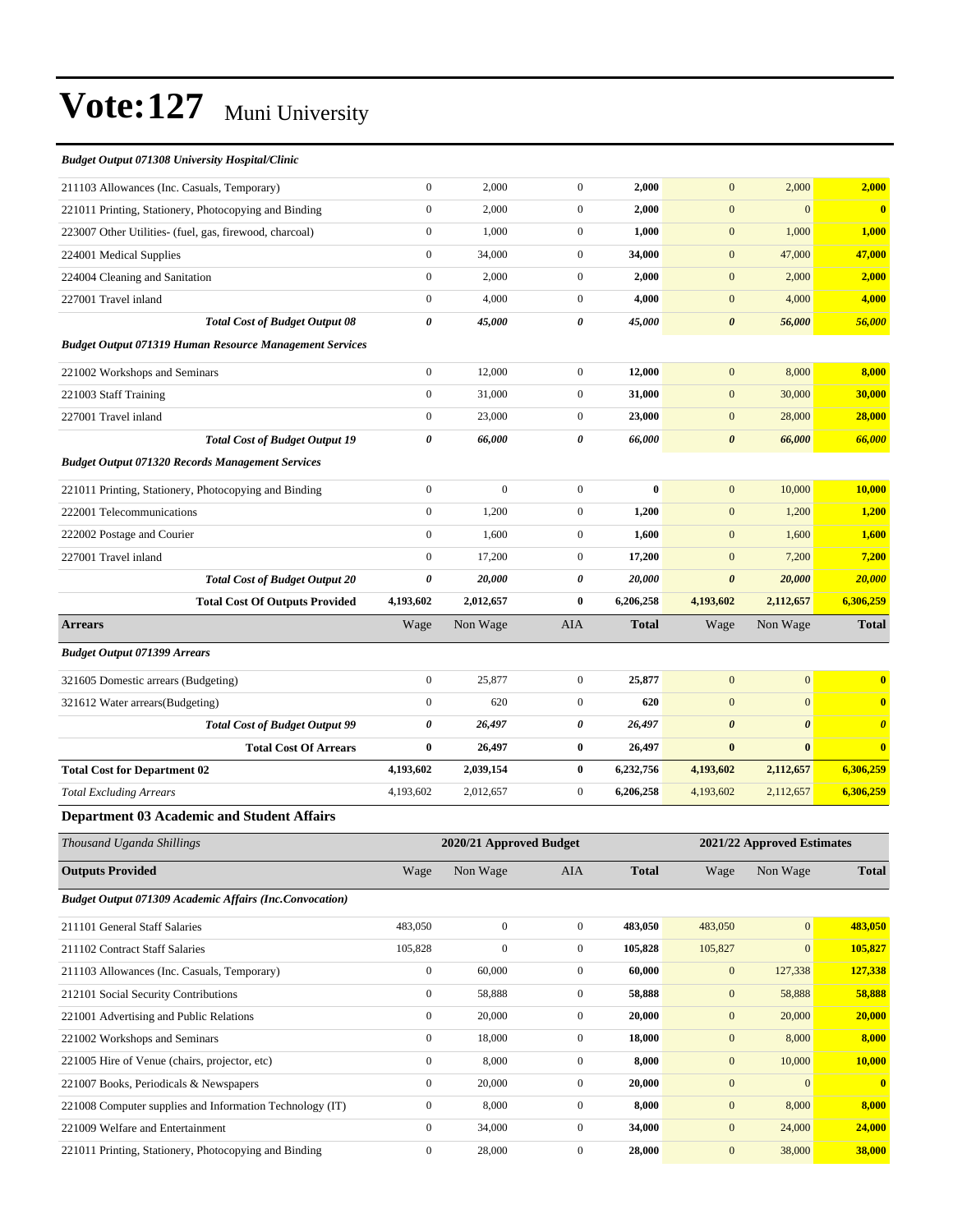| <b>Budget Output 071308 University Hospital/Clinic</b>         |                       |                                                                                              |                |              |                       |                       |                       |
|----------------------------------------------------------------|-----------------------|----------------------------------------------------------------------------------------------|----------------|--------------|-----------------------|-----------------------|-----------------------|
| 211103 Allowances (Inc. Casuals, Temporary)                    | $\mathbf{0}$          | 2,000                                                                                        | $\overline{0}$ | 2,000        | $\overline{0}$        | 2,000                 | 2,000                 |
| 221011 Printing, Stationery, Photocopying and Binding          | $\boldsymbol{0}$      | 2,000                                                                                        | $\overline{0}$ | 2,000        | $\mathbf{0}$          | $\mathbf{0}$          | $\mathbf{0}$          |
| 223007 Other Utilities- (fuel, gas, firewood, charcoal)        | $\boldsymbol{0}$      | 1,000                                                                                        | $\overline{0}$ | 1,000        | $\mathbf{0}$          | 1,000                 | 1,000                 |
| 224001 Medical Supplies                                        | $\mathbf{0}$          | 34,000                                                                                       | $\overline{0}$ | 34,000       | $\mathbf{0}$          | 47,000                | 47,000                |
| 224004 Cleaning and Sanitation                                 | $\mathbf{0}$          | 2,000                                                                                        | $\overline{0}$ | 2,000        | $\mathbf{0}$          | 2,000                 | 2,000                 |
| 227001 Travel inland                                           | $\mathbf{0}$          | 4,000                                                                                        | $\overline{0}$ | 4,000        | $\mathbf{0}$          | 4,000                 | 4,000                 |
| <b>Total Cost of Budget Output 08</b>                          | 0                     | 45,000                                                                                       | 0              | 45,000       | $\boldsymbol{\theta}$ | 56,000                | 56,000                |
| <b>Budget Output 071319 Human Resource Management Services</b> |                       |                                                                                              |                |              |                       |                       |                       |
| 221002 Workshops and Seminars                                  | $\boldsymbol{0}$      | 12,000                                                                                       | $\overline{0}$ | 12,000       | $\overline{0}$        | 8,000                 | 8,000                 |
| 221003 Staff Training                                          | $\mathbf{0}$          | 31,000                                                                                       | $\overline{0}$ | 31,000       | $\mathbf{0}$          | 30,000                | 30,000                |
| 227001 Travel inland                                           | $\boldsymbol{0}$      | 23,000                                                                                       | $\overline{0}$ | 23,000       | $\mathbf{0}$          | 28,000                | 28,000                |
| <b>Total Cost of Budget Output 19</b>                          | $\boldsymbol{\theta}$ | 66,000                                                                                       | 0              | 66,000       | $\boldsymbol{\theta}$ | 66,000                | 66,000                |
| <b>Budget Output 071320 Records Management Services</b>        |                       |                                                                                              |                |              |                       |                       |                       |
| 221011 Printing, Stationery, Photocopying and Binding          | $\boldsymbol{0}$      | $\boldsymbol{0}$                                                                             | $\overline{0}$ | $\bf{0}$     | $\mathbf{0}$          | 10,000                | 10,000                |
| 222001 Telecommunications                                      | $\mathbf{0}$          | 1,200                                                                                        | $\overline{0}$ | 1,200        | $\mathbf{0}$          | 1,200                 | 1,200                 |
| 222002 Postage and Courier                                     | $\mathbf{0}$          | 1,600                                                                                        | $\overline{0}$ | 1,600        | $\overline{0}$        | 1,600                 | 1,600                 |
| 227001 Travel inland                                           | $\mathbf{0}$          | 17,200                                                                                       | $\overline{0}$ | 17,200       | $\mathbf{0}$          | 7,200                 | 7,200                 |
| <b>Total Cost of Budget Output 20</b>                          | $\boldsymbol{\theta}$ | 20,000                                                                                       | 0              | 20,000       | $\boldsymbol{\theta}$ | 20,000                | 20,000                |
| <b>Total Cost Of Outputs Provided</b>                          | 4,193,602             | 2,012,657                                                                                    | $\bf{0}$       | 6,206,258    | 4,193,602             | 2,112,657             | 6,306,259             |
| <b>Arrears</b>                                                 | Wage                  | Non Wage                                                                                     | AIA            | <b>Total</b> | Wage                  | Non Wage              | <b>Total</b>          |
| <b>Budget Output 071399 Arrears</b>                            |                       |                                                                                              |                |              |                       |                       |                       |
| 321605 Domestic arrears (Budgeting)                            | $\mathbf{0}$          | 25,877                                                                                       | $\overline{0}$ | 25,877       | $\mathbf{0}$          | $\overline{0}$        | $\bf{0}$              |
| 321612 Water arrears(Budgeting)                                | $\mathbf{0}$          | 620                                                                                          | $\overline{0}$ | 620          | $\overline{0}$        | $\mathbf{0}$          | $\bf{0}$              |
| <b>Total Cost of Budget Output 99</b>                          | $\boldsymbol{\theta}$ | 26,497                                                                                       | 0              | 26,497       | $\boldsymbol{\theta}$ | $\boldsymbol{\theta}$ | $\boldsymbol{\theta}$ |
| <b>Total Cost Of Arrears</b>                                   | $\bf{0}$              | 26,497                                                                                       | $\bf{0}$       | 26,497       | $\bf{0}$              | $\bf{0}$              | $\bf{0}$              |
| <b>Total Cost for Department 02</b>                            | 4,193,602             | 2,039,154                                                                                    | $\bf{0}$       | 6,232,756    | 4,193,602             | 2,112,657             | 6,306,259             |
| <b>Total Excluding Arrears</b>                                 | 4,193,602             | 2,012,657                                                                                    | $\overline{0}$ | 6,206,258    | 4,193,602             | 2,112,657             | 6,306,259             |
| <b>Department 03 Academic and Student Affairs</b>              |                       |                                                                                              |                |              |                       |                       |                       |
| TT1<br>1 T<br>$1 \quad 11 \quad 11$                            |                       | $\begin{array}{ccc}\n\bullet & \bullet & \bullet & \bullet & \bullet & \bullet\n\end{array}$ |                |              | $2021824$             |                       |                       |

| Thousand Uganda Shillings                                      |                  | 2020/21 Approved Budget |                | 2021/22 Approved Estimates |              |              |              |
|----------------------------------------------------------------|------------------|-------------------------|----------------|----------------------------|--------------|--------------|--------------|
| <b>Outputs Provided</b>                                        | Wage             | Non Wage                | <b>AIA</b>     | <b>Total</b>               | Wage         | Non Wage     | <b>Total</b> |
| <b>Budget Output 071309 Academic Affairs (Inc.Convocation)</b> |                  |                         |                |                            |              |              |              |
| 211101 General Staff Salaries                                  | 483,050          | $\mathbf{0}$            | $\overline{0}$ | 483,050                    | 483,050      | $\mathbf{0}$ | 483,050      |
| 211102 Contract Staff Salaries                                 | 105,828          | $\mathbf{0}$            | $\mathbf{0}$   | 105,828                    | 105,827      | $\mathbf{0}$ | 105,827      |
| 211103 Allowances (Inc. Casuals, Temporary)                    | $\overline{0}$   | 60,000                  | $\overline{0}$ | 60,000                     | $\mathbf{0}$ | 127,338      | 127,338      |
| 212101 Social Security Contributions                           | $\mathbf{0}$     | 58,888                  | $\mathbf{0}$   | 58,888                     | $\mathbf{0}$ | 58,888       | 58,888       |
| 221001 Advertising and Public Relations                        | $\mathbf{0}$     | 20,000                  | $\mathbf{0}$   | 20,000                     | $\mathbf{0}$ | 20,000       | 20,000       |
| 221002 Workshops and Seminars                                  | $\overline{0}$   | 18,000                  | $\mathbf{0}$   | 18,000                     | $\mathbf{0}$ | 8,000        | 8,000        |
| 221005 Hire of Venue (chairs, projector, etc)                  | $\overline{0}$   | 8,000                   | $\mathbf{0}$   | 8,000                      | $\mathbf{0}$ | 10,000       | 10,000       |
| 221007 Books, Periodicals & Newspapers                         | $\overline{0}$   | 20,000                  | $\mathbf{0}$   | 20,000                     | $\mathbf{0}$ | $\mathbf{0}$ | $\mathbf{0}$ |
| 221008 Computer supplies and Information Technology (IT)       | $\boldsymbol{0}$ | 8,000                   | $\mathbf{0}$   | 8,000                      | $\mathbf{0}$ | 8,000        | 8,000        |
| 221009 Welfare and Entertainment                               | $\overline{0}$   | 34,000                  | $\mathbf{0}$   | 34,000                     | $\mathbf{0}$ | 24,000       | 24,000       |
| 221011 Printing, Stationery, Photocopying and Binding          | $\mathbf{0}$     | 28,000                  | $\Omega$       | 28,000                     | $\mathbf{0}$ | 38,000       | 38,000       |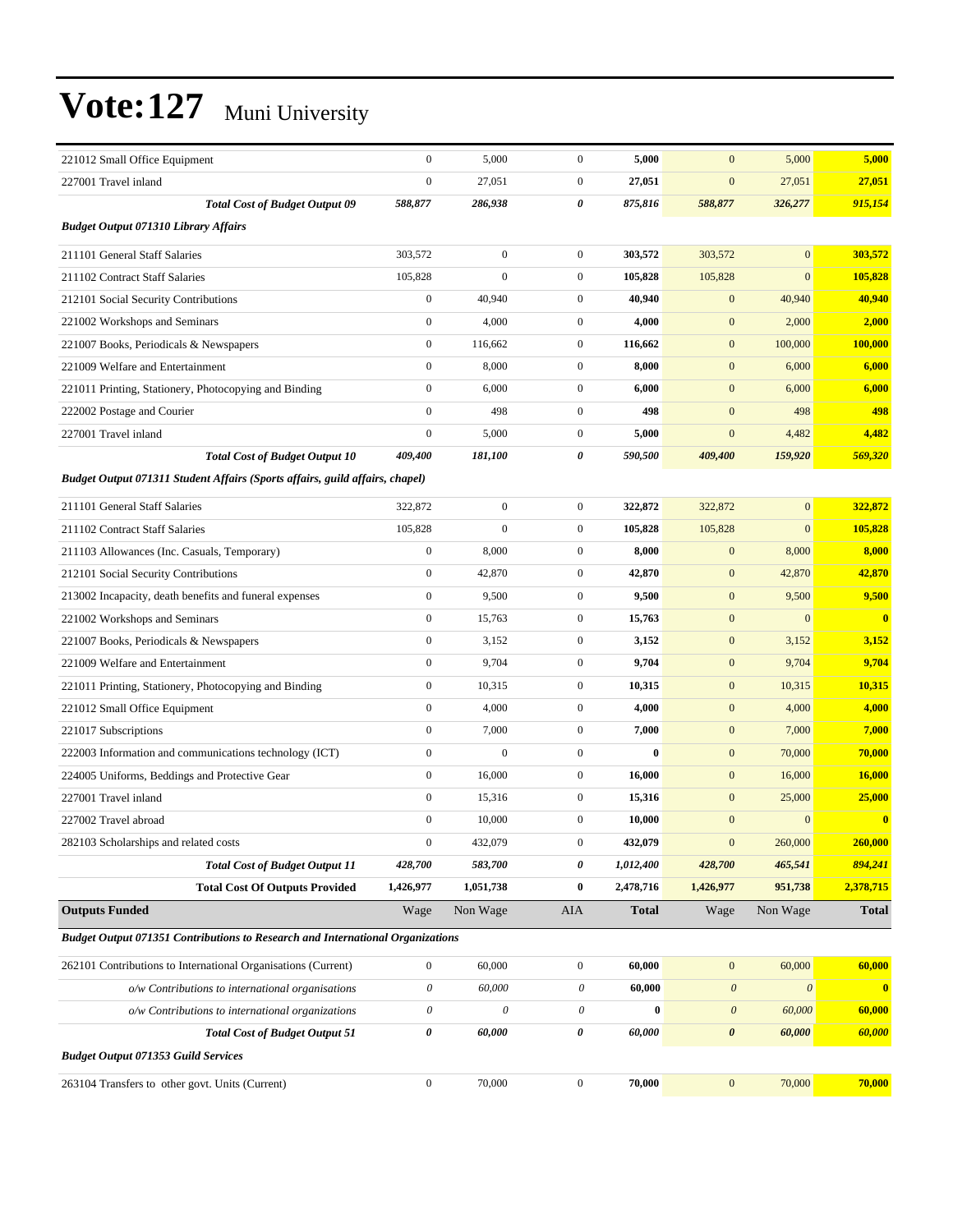| 221012 Small Office Equipment                                                  | $\boldsymbol{0}$          | 5,000            | $\mathbf{0}$     | 5,000        | $\mathbf{0}$          | 5,000                 | 5,000        |
|--------------------------------------------------------------------------------|---------------------------|------------------|------------------|--------------|-----------------------|-----------------------|--------------|
| 227001 Travel inland                                                           | $\mathbf{0}$              | 27,051           | $\boldsymbol{0}$ | 27,051       | $\mathbf{0}$          | 27,051                | 27,051       |
| <b>Total Cost of Budget Output 09</b>                                          | 588,877                   | 286,938          | 0                | 875,816      | 588,877               | 326,277               | 915,154      |
| <b>Budget Output 071310 Library Affairs</b>                                    |                           |                  |                  |              |                       |                       |              |
| 211101 General Staff Salaries                                                  | 303,572                   | $\boldsymbol{0}$ | $\boldsymbol{0}$ | 303,572      | 303,572               | $\mathbf{0}$          | 303,572      |
| 211102 Contract Staff Salaries                                                 | 105,828                   | $\boldsymbol{0}$ | $\mathbf{0}$     | 105,828      | 105,828               | $\mathbf{0}$          | 105,828      |
| 212101 Social Security Contributions                                           | $\boldsymbol{0}$          | 40,940           | $\boldsymbol{0}$ | 40,940       | $\mathbf{0}$          | 40,940                | 40,940       |
| 221002 Workshops and Seminars                                                  | $\mathbf{0}$              | 4,000            | $\boldsymbol{0}$ | 4,000        | $\mathbf{0}$          | 2,000                 | 2,000        |
| 221007 Books, Periodicals & Newspapers                                         | $\boldsymbol{0}$          | 116,662          | $\boldsymbol{0}$ | 116,662      | $\mathbf{0}$          | 100,000               | 100,000      |
| 221009 Welfare and Entertainment                                               | $\mathbf{0}$              | 8,000            | $\boldsymbol{0}$ | 8,000        | $\mathbf{0}$          | 6,000                 | 6,000        |
| 221011 Printing, Stationery, Photocopying and Binding                          | $\boldsymbol{0}$          | 6,000            | $\mathbf{0}$     | 6,000        | $\mathbf{0}$          | 6,000                 | 6,000        |
| 222002 Postage and Courier                                                     | $\mathbf{0}$              | 498              | $\boldsymbol{0}$ | 498          | $\mathbf{0}$          | 498                   | 498          |
| 227001 Travel inland                                                           | $\mathbf{0}$              | 5,000            | $\boldsymbol{0}$ | 5,000        | $\mathbf{0}$          | 4,482                 | 4,482        |
| <b>Total Cost of Budget Output 10</b>                                          | 409,400                   | 181,100          | 0                | 590,500      | 409,400               | 159,920               | 569,320      |
| Budget Output 071311 Student Affairs (Sports affairs, guild affairs, chapel)   |                           |                  |                  |              |                       |                       |              |
| 211101 General Staff Salaries                                                  | 322,872                   | $\boldsymbol{0}$ | $\mathbf{0}$     | 322,872      | 322,872               | $\mathbf{0}$          | 322,872      |
| 211102 Contract Staff Salaries                                                 | 105,828                   | $\mathbf{0}$     | $\mathbf{0}$     | 105,828      | 105,828               | $\overline{0}$        | 105,828      |
| 211103 Allowances (Inc. Casuals, Temporary)                                    | $\boldsymbol{0}$          | 8,000            | $\boldsymbol{0}$ | 8,000        | $\mathbf{0}$          | 8,000                 | 8,000        |
| 212101 Social Security Contributions                                           | $\boldsymbol{0}$          | 42,870           | $\mathbf{0}$     | 42,870       | $\mathbf{0}$          | 42,870                | 42,870       |
| 213002 Incapacity, death benefits and funeral expenses                         | $\boldsymbol{0}$          | 9,500            | $\mathbf{0}$     | 9,500        | $\mathbf{0}$          | 9,500                 | 9,500        |
| 221002 Workshops and Seminars                                                  | $\boldsymbol{0}$          | 15,763           | $\boldsymbol{0}$ | 15,763       | $\mathbf{0}$          | $\mathbf{0}$          | $\bf{0}$     |
| 221007 Books, Periodicals & Newspapers                                         | $\boldsymbol{0}$          | 3,152            | $\boldsymbol{0}$ | 3,152        | $\mathbf{0}$          | 3,152                 | 3,152        |
| 221009 Welfare and Entertainment                                               | $\boldsymbol{0}$          | 9,704            | $\boldsymbol{0}$ | 9,704        | $\mathbf{0}$          | 9,704                 | 9,704        |
| 221011 Printing, Stationery, Photocopying and Binding                          | $\boldsymbol{0}$          | 10,315           | $\mathbf{0}$     | 10,315       | $\mathbf{0}$          | 10,315                | 10,315       |
| 221012 Small Office Equipment                                                  | $\mathbf{0}$              | 4,000            | $\mathbf{0}$     | 4,000        | $\mathbf{0}$          | 4,000                 | 4,000        |
| 221017 Subscriptions                                                           | $\mathbf{0}$              | 7,000            | $\boldsymbol{0}$ | 7,000        | $\mathbf{0}$          | 7,000                 | 7,000        |
| 222003 Information and communications technology (ICT)                         | $\boldsymbol{0}$          | $\mathbf{0}$     | $\boldsymbol{0}$ | $\bf{0}$     | $\mathbf{0}$          | 70,000                | 70,000       |
| 224005 Uniforms, Beddings and Protective Gear                                  | $\boldsymbol{0}$          | 16,000           | $\boldsymbol{0}$ | 16,000       | $\mathbf{0}$          | 16,000                | 16,000       |
| 227001 Travel inland                                                           | $\mathbf{0}$              | 15,316           | $\mathbf{0}$     | 15,316       | $\mathbf{0}$          | 25,000                | 25,000       |
| 227002 Travel abroad                                                           | $\boldsymbol{0}$          | 10,000           | $\boldsymbol{0}$ | 10,000       | $\mathbf{0}$          | $\mathbf{0}$          | $\bf{0}$     |
| 282103 Scholarships and related costs                                          | $\mathbf{0}$              | 432,079          | 0                | 432,079      | $\mathbf{0}$          | 260,000               | 260,000      |
| <b>Total Cost of Budget Output 11</b>                                          | 428,700                   | 583,700          | 0                | 1,012,400    | 428,700               | 465,541               | 894,241      |
| <b>Total Cost Of Outputs Provided</b>                                          | 1,426,977                 | 1,051,738        | $\bf{0}$         | 2,478,716    | 1,426,977             | 951,738               | 2,378,715    |
| <b>Outputs Funded</b>                                                          | Wage                      | Non Wage         | <b>AIA</b>       | <b>Total</b> | Wage                  | Non Wage              | <b>Total</b> |
| Budget Output 071351 Contributions to Research and International Organizations |                           |                  |                  |              |                       |                       |              |
| 262101 Contributions to International Organisations (Current)                  | $\boldsymbol{0}$          | 60,000           | $\boldsymbol{0}$ | 60,000       | $\boldsymbol{0}$      | 60,000                | 60,000       |
| o/w Contributions to international organisations                               | $\boldsymbol{\mathit{0}}$ | 60,000           | 0                | 60,000       | $\boldsymbol{\theta}$ | $\boldsymbol{\theta}$ | $\mathbf{0}$ |
| o/w Contributions to international organizations                               | 0                         | 0                | $\theta$         | $\bf{0}$     | $\boldsymbol{\theta}$ | 60,000                | 60,000       |
| <b>Total Cost of Budget Output 51</b>                                          | $\pmb{\theta}$            | 60,000           | 0                | 60,000       | $\boldsymbol{\theta}$ | 60,000                | 60,000       |
| <b>Budget Output 071353 Guild Services</b>                                     |                           |                  |                  |              |                       |                       |              |
| 263104 Transfers to other govt. Units (Current)                                | $\boldsymbol{0}$          | 70,000           | $\boldsymbol{0}$ | 70,000       | $\boldsymbol{0}$      | 70,000                | 70,000       |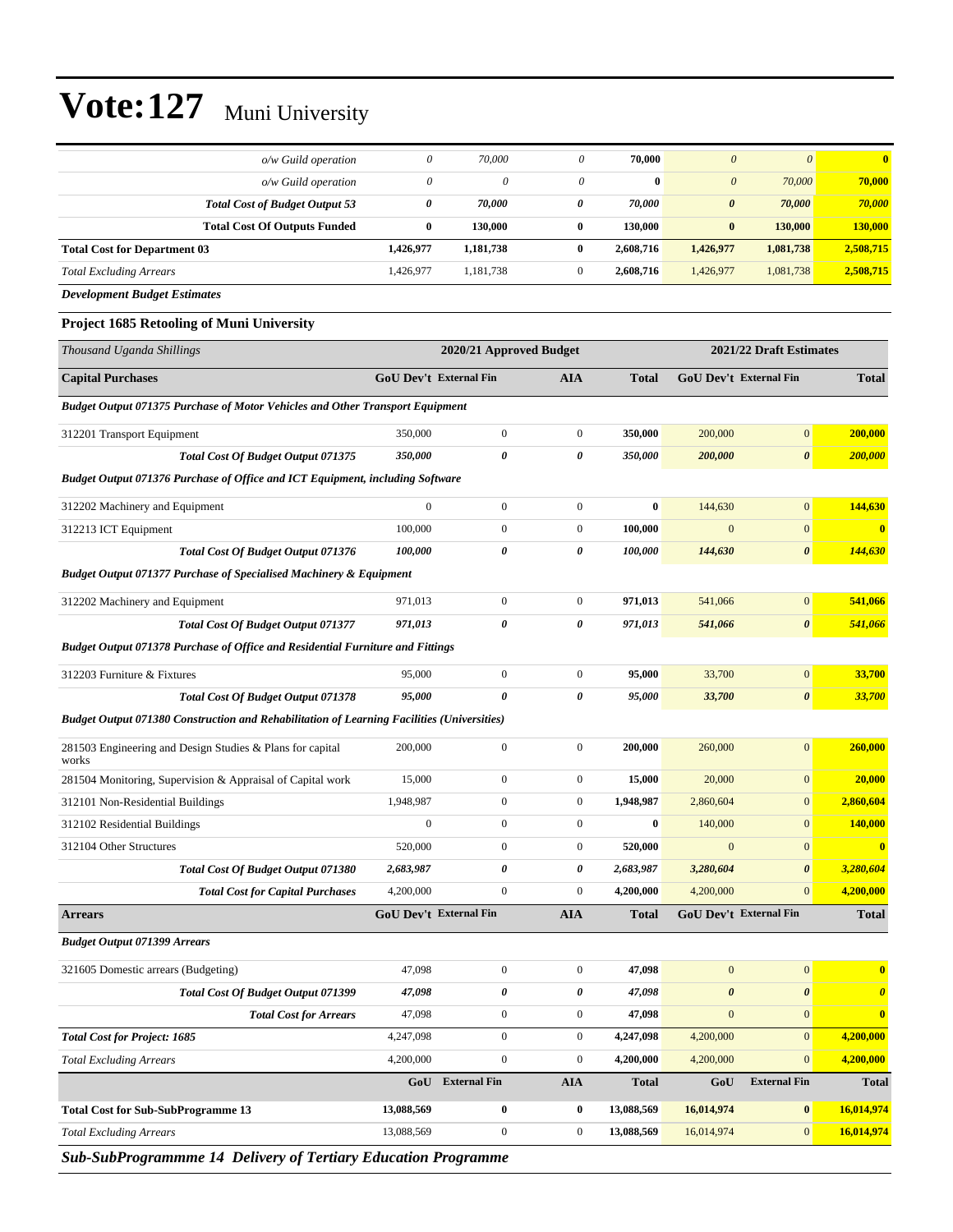|                                       | $o/w$ Guild operation | $\theta$ | 70,000    | 0            | 70.000    | $\theta$              | $\theta$  | $\overline{\mathbf{0}}$ |
|---------------------------------------|-----------------------|----------|-----------|--------------|-----------|-----------------------|-----------|-------------------------|
|                                       | $o/w$ Guild operation | $\theta$ | 0         | $\theta$     | $\bf{0}$  | $\theta$              | 70,000    | 70,000                  |
| <b>Total Cost of Budget Output 53</b> |                       | 0        | 70.000    | 0            | 70,000    | $\boldsymbol{\theta}$ | 70,000    | 70,000                  |
| <b>Total Cost Of Outputs Funded</b>   |                       | 0        | 130,000   | $\bf{0}$     | 130,000   | $\bf{0}$              | 130,000   | 130,000                 |
| <b>Total Cost for Department 03</b>   | 1,426,977             |          | 1,181,738 | $\bf{0}$     | 2.608.716 | 1,426,977             | 1,081,738 | 2,508,715               |
| <b>Total Excluding Arrears</b>        | 1,426,977             |          | 1,181,738 | $\mathbf{0}$ | 2.608.716 | 1,426,977             | 1,081,738 | 2,508,715               |
| Development Budget Estimates          |                       |          |           |              |           |                       |           |                         |

#### **Project 1685 Retooling of Muni University**

| Thousand Uganda Shillings                                                                         |                               | 2020/21 Approved Budget |                  |              |                       | 2021/22 Draft Estimates |                         |
|---------------------------------------------------------------------------------------------------|-------------------------------|-------------------------|------------------|--------------|-----------------------|-------------------------|-------------------------|
| <b>Capital Purchases</b>                                                                          | GoU Dev't External Fin        |                         | AIA              | <b>Total</b> |                       | GoU Dev't External Fin  | <b>Total</b>            |
| Budget Output 071375 Purchase of Motor Vehicles and Other Transport Equipment                     |                               |                         |                  |              |                       |                         |                         |
| 312201 Transport Equipment                                                                        | 350,000                       | $\boldsymbol{0}$        | $\boldsymbol{0}$ | 350,000      | 200,000               | $\mathbf{0}$            | 200,000                 |
| Total Cost Of Budget Output 071375                                                                | 350,000                       | 0                       | 0                | 350,000      | 200,000               | $\boldsymbol{\theta}$   | 200,000                 |
| <b>Budget Output 071376 Purchase of Office and ICT Equipment, including Software</b>              |                               |                         |                  |              |                       |                         |                         |
| 312202 Machinery and Equipment                                                                    | $\boldsymbol{0}$              | $\boldsymbol{0}$        | $\boldsymbol{0}$ | $\bf{0}$     | 144,630               | $\boldsymbol{0}$        | 144,630                 |
| 312213 ICT Equipment                                                                              | 100,000                       | $\boldsymbol{0}$        | $\boldsymbol{0}$ | 100,000      | $\mathbf{0}$          | $\mathbf{0}$            | $\bf{0}$                |
| <b>Total Cost Of Budget Output 071376</b>                                                         | 100,000                       | 0                       | 0                | 100,000      | 144,630               | $\boldsymbol{\theta}$   | 144,630                 |
| <b>Budget Output 071377 Purchase of Specialised Machinery &amp; Equipment</b>                     |                               |                         |                  |              |                       |                         |                         |
| 312202 Machinery and Equipment                                                                    | 971,013                       | $\boldsymbol{0}$        | $\boldsymbol{0}$ | 971,013      | 541,066               | $\mathbf{0}$            | 541,066                 |
| Total Cost Of Budget Output 071377                                                                | 971,013                       | 0                       | 0                | 971,013      | 541,066               | $\boldsymbol{\theta}$   | 541,066                 |
| Budget Output 071378 Purchase of Office and Residential Furniture and Fittings                    |                               |                         |                  |              |                       |                         |                         |
| 312203 Furniture & Fixtures                                                                       | 95,000                        | $\boldsymbol{0}$        | $\boldsymbol{0}$ | 95,000       | 33,700                | $\boldsymbol{0}$        | 33,700                  |
| Total Cost Of Budget Output 071378                                                                | 95,000                        | 0                       | 0                | 95,000       | 33,700                | $\boldsymbol{\theta}$   | 33,700                  |
| <b>Budget Output 071380 Construction and Rehabilitation of Learning Facilities (Universities)</b> |                               |                         |                  |              |                       |                         |                         |
| 281503 Engineering and Design Studies & Plans for capital<br>works                                | 200,000                       | $\boldsymbol{0}$        | $\boldsymbol{0}$ | 200,000      | 260,000               | $\mathbf{0}$            | 260,000                 |
| 281504 Monitoring, Supervision & Appraisal of Capital work                                        | 15,000                        | $\boldsymbol{0}$        | $\boldsymbol{0}$ | 15,000       | 20,000                | $\mathbf{0}$            | 20,000                  |
| 312101 Non-Residential Buildings                                                                  | 1,948,987                     | $\boldsymbol{0}$        | $\boldsymbol{0}$ | 1,948,987    | 2,860,604             | $\mathbf{0}$            | 2,860,604               |
| 312102 Residential Buildings                                                                      | $\boldsymbol{0}$              | $\boldsymbol{0}$        | $\boldsymbol{0}$ | $\bf{0}$     | 140,000               | $\mathbf{0}$            | 140,000                 |
| 312104 Other Structures                                                                           | 520,000                       | $\boldsymbol{0}$        | $\boldsymbol{0}$ | 520,000      | $\mathbf{0}$          | $\mathbf{0}$            | $\overline{\mathbf{0}}$ |
| <b>Total Cost Of Budget Output 071380</b>                                                         | 2,683,987                     | 0                       | 0                | 2,683,987    | 3,280,604             | $\boldsymbol{\theta}$   | 3,280,604               |
| <b>Total Cost for Capital Purchases</b>                                                           | 4,200,000                     | $\boldsymbol{0}$        | $\overline{0}$   | 4,200,000    | 4,200,000             | $\mathbf{0}$            | 4,200,000               |
| <b>Arrears</b>                                                                                    | <b>GoU Dev't External Fin</b> |                         | <b>AIA</b>       | <b>Total</b> |                       | GoU Dev't External Fin  | <b>Total</b>            |
| <b>Budget Output 071399 Arrears</b>                                                               |                               |                         |                  |              |                       |                         |                         |
| 321605 Domestic arrears (Budgeting)                                                               | 47,098                        | $\boldsymbol{0}$        | $\boldsymbol{0}$ | 47,098       | $\mathbf{0}$          | $\mathbf{0}$            | $\bf{0}$                |
| Total Cost Of Budget Output 071399                                                                | 47,098                        | 0                       | 0                | 47,098       | $\boldsymbol{\theta}$ | $\boldsymbol{\theta}$   | $\boldsymbol{\theta}$   |
| <b>Total Cost for Arrears</b>                                                                     | 47,098                        | $\boldsymbol{0}$        | $\boldsymbol{0}$ | 47,098       | $\mathbf{0}$          | $\mathbf{0}$            | $\bf{0}$                |
| <b>Total Cost for Project: 1685</b>                                                               | 4,247,098                     | $\boldsymbol{0}$        | $\boldsymbol{0}$ | 4,247,098    | 4,200,000             | $\boldsymbol{0}$        | 4,200,000               |
| <b>Total Excluding Arrears</b>                                                                    | 4,200,000                     | $\boldsymbol{0}$        | $\boldsymbol{0}$ | 4,200,000    | 4,200,000             | $\mathbf{0}$            | 4,200,000               |
|                                                                                                   | GoU                           | <b>External Fin</b>     | <b>AIA</b>       | <b>Total</b> | GoU                   | <b>External Fin</b>     | <b>Total</b>            |
| <b>Total Cost for Sub-SubProgramme 13</b>                                                         | 13,088,569                    | 0                       | 0                | 13,088,569   | 16,014,974            | $\bf{0}$                | 16,014,974              |
| <b>Total Excluding Arrears</b>                                                                    | 13,088,569                    | $\boldsymbol{0}$        | $\boldsymbol{0}$ | 13,088,569   | 16,014,974            | 0                       | 16,014,974              |
| Sub-SubProgrammme 14 Delivery of Tertiary Education Programme                                     |                               |                         |                  |              |                       |                         |                         |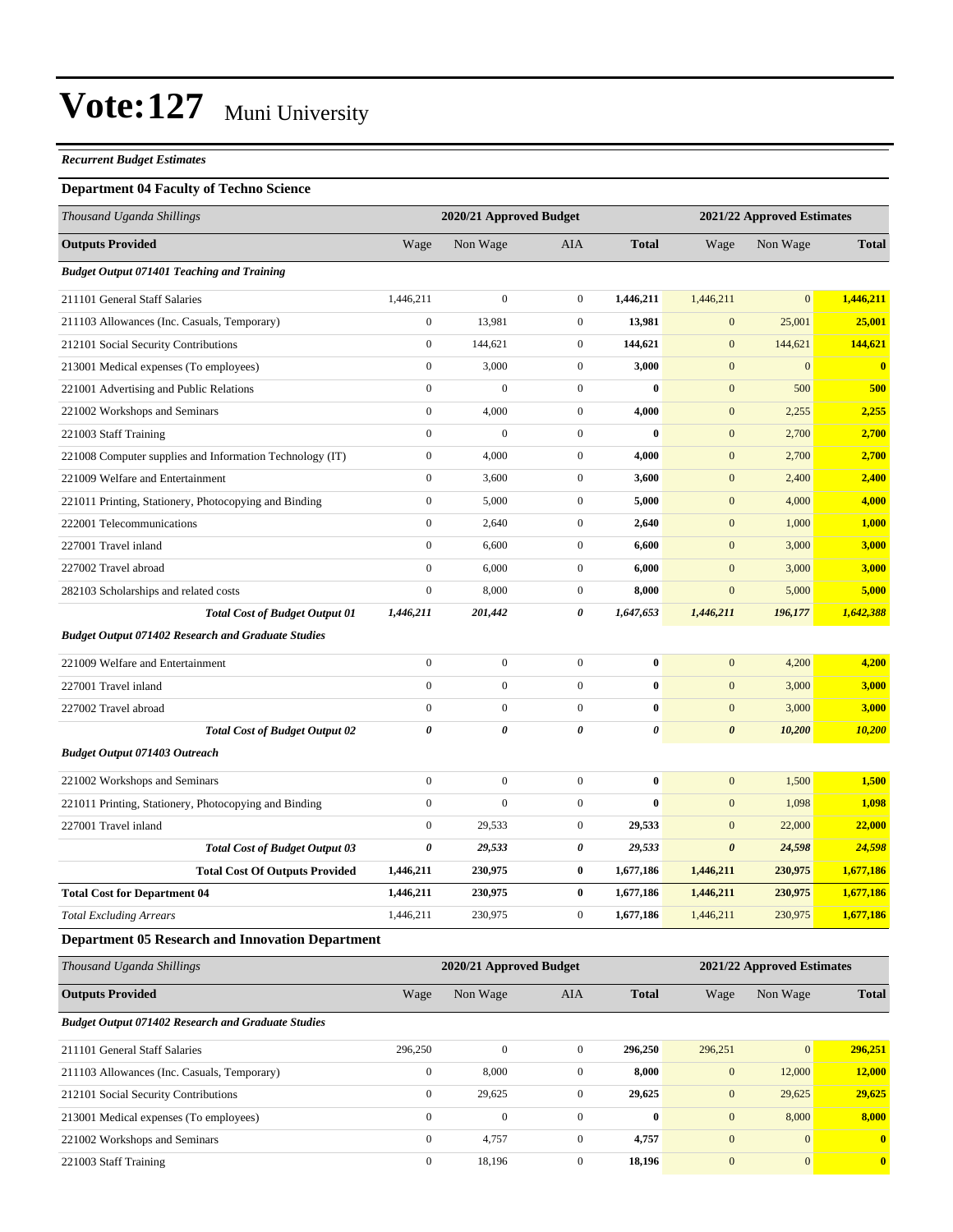#### *Recurrent Budget Estimates*

#### **Department 04 Faculty of Techno Science**

| Thousand Uganda Shillings                                 |                  | 2020/21 Approved Budget |                  | 2021/22 Approved Estimates |                       |                            |               |
|-----------------------------------------------------------|------------------|-------------------------|------------------|----------------------------|-----------------------|----------------------------|---------------|
| <b>Outputs Provided</b>                                   | Wage             | Non Wage                | AIA              | <b>Total</b>               | Wage                  | Non Wage                   | <b>Total</b>  |
| <b>Budget Output 071401 Teaching and Training</b>         |                  |                         |                  |                            |                       |                            |               |
| 211101 General Staff Salaries                             | 1,446,211        | $\boldsymbol{0}$        | $\boldsymbol{0}$ | 1,446,211                  | 1,446,211             | $\mathbf{0}$               | 1,446,211     |
| 211103 Allowances (Inc. Casuals, Temporary)               | $\boldsymbol{0}$ | 13,981                  | $\boldsymbol{0}$ | 13,981                     | $\mathbf{0}$          | 25,001                     | 25,001        |
| 212101 Social Security Contributions                      | $\boldsymbol{0}$ | 144,621                 | $\boldsymbol{0}$ | 144,621                    | $\mathbf{0}$          | 144,621                    | 144,621       |
| 213001 Medical expenses (To employees)                    | $\boldsymbol{0}$ | 3,000                   | $\boldsymbol{0}$ | 3,000                      | $\mathbf{0}$          | $\boldsymbol{0}$           | $\bf{0}$      |
| 221001 Advertising and Public Relations                   | $\boldsymbol{0}$ | $\boldsymbol{0}$        | $\boldsymbol{0}$ | $\bf{0}$                   | $\boldsymbol{0}$      | 500                        | 500           |
| 221002 Workshops and Seminars                             | $\boldsymbol{0}$ | 4,000                   | $\boldsymbol{0}$ | 4,000                      | $\mathbf{0}$          | 2,255                      | 2,255         |
| 221003 Staff Training                                     | $\mathbf{0}$     | $\boldsymbol{0}$        | $\boldsymbol{0}$ | $\bf{0}$                   | $\mathbf{0}$          | 2,700                      | 2,700         |
| 221008 Computer supplies and Information Technology (IT)  | $\boldsymbol{0}$ | 4,000                   | $\boldsymbol{0}$ | 4,000                      | $\mathbf{0}$          | 2,700                      | 2,700         |
| 221009 Welfare and Entertainment                          | $\boldsymbol{0}$ | 3,600                   | $\boldsymbol{0}$ | 3,600                      | $\mathbf{0}$          | 2,400                      | 2,400         |
| 221011 Printing, Stationery, Photocopying and Binding     | $\boldsymbol{0}$ | 5,000                   | $\boldsymbol{0}$ | 5,000                      | $\boldsymbol{0}$      | 4,000                      | 4,000         |
| 222001 Telecommunications                                 | $\boldsymbol{0}$ | 2,640                   | $\boldsymbol{0}$ | 2,640                      | $\mathbf{0}$          | 1,000                      | 1,000         |
| 227001 Travel inland                                      | $\boldsymbol{0}$ | 6,600                   | $\boldsymbol{0}$ | 6,600                      | $\boldsymbol{0}$      | 3,000                      | 3,000         |
| 227002 Travel abroad                                      | $\boldsymbol{0}$ | 6,000                   | $\boldsymbol{0}$ | 6,000                      | $\mathbf{0}$          | 3,000                      | 3,000         |
| 282103 Scholarships and related costs                     | $\boldsymbol{0}$ | 8,000                   | $\boldsymbol{0}$ | 8,000                      | $\boldsymbol{0}$      | 5,000                      | 5,000         |
| <b>Total Cost of Budget Output 01</b>                     | 1,446,211        | 201,442                 | 0                | 1,647,653                  | 1,446,211             | 196,177                    | 1,642,388     |
| <b>Budget Output 071402 Research and Graduate Studies</b> |                  |                         |                  |                            |                       |                            |               |
| 221009 Welfare and Entertainment                          | $\boldsymbol{0}$ | $\boldsymbol{0}$        | $\boldsymbol{0}$ | $\bf{0}$                   | $\mathbf{0}$          | 4,200                      | 4,200         |
| 227001 Travel inland                                      | $\mathbf{0}$     | $\boldsymbol{0}$        | $\boldsymbol{0}$ | $\bf{0}$                   | $\mathbf{0}$          | 3,000                      | 3,000         |
| 227002 Travel abroad                                      | $\boldsymbol{0}$ | $\boldsymbol{0}$        | $\overline{0}$   | $\bf{0}$                   | $\mathbf{0}$          | 3,000                      | 3,000         |
| <b>Total Cost of Budget Output 02</b>                     | 0                | 0                       | 0                | 0                          | $\boldsymbol{\theta}$ | 10,200                     | <b>10,200</b> |
| <b>Budget Output 071403 Outreach</b>                      |                  |                         |                  |                            |                       |                            |               |
| 221002 Workshops and Seminars                             | $\boldsymbol{0}$ | $\boldsymbol{0}$        | $\boldsymbol{0}$ | $\bf{0}$                   | $\boldsymbol{0}$      | 1,500                      | 1,500         |
| 221011 Printing, Stationery, Photocopying and Binding     | $\boldsymbol{0}$ | $\boldsymbol{0}$        | $\boldsymbol{0}$ | $\bf{0}$                   | $\mathbf{0}$          | 1,098                      | 1,098         |
| 227001 Travel inland                                      | $\boldsymbol{0}$ | 29,533                  | $\boldsymbol{0}$ | 29,533                     | $\mathbf{0}$          | 22,000                     | 22,000        |
| <b>Total Cost of Budget Output 03</b>                     | 0                | 29,533                  | 0                | 29,533                     | $\boldsymbol{\theta}$ | 24,598                     | 24,598        |
| <b>Total Cost Of Outputs Provided</b>                     | 1,446,211        | 230,975                 | 0                | 1,677,186                  | 1,446,211             | 230,975                    | 1,677,186     |
| <b>Total Cost for Department 04</b>                       | 1,446,211        | 230,975                 | 0                | 1,677,186                  | 1,446,211             | 230,975                    | 1,677,186     |
| <b>Total Excluding Arrears</b>                            | 1,446,211        | 230,975                 | $\boldsymbol{0}$ | 1,677,186                  | 1,446,211             | 230,975                    | 1,677,186     |
| <b>Department 05 Research and Innovation Department</b>   |                  |                         |                  |                            |                       |                            |               |
| Thousand Uganda Shillings                                 |                  | 2020/21 Approved Budget |                  |                            |                       | 2021/22 Approved Estimates |               |
| <b>Outputs Provided</b>                                   | Wage             | Non Wage                | AIA              | <b>Total</b>               | Wage                  | Non Wage                   | <b>Total</b>  |
| <b>Budget Output 071402 Research and Graduate Studies</b> |                  |                         |                  |                            |                       |                            |               |
| 211101 General Staff Salaries                             | 296,250          | $\boldsymbol{0}$        | $\boldsymbol{0}$ | 296,250                    | 296,251               | 0                          | 296,251       |
| 211103 Allowances (Inc. Casuals, Temporary)               | $\boldsymbol{0}$ | 8,000                   | $\boldsymbol{0}$ | 8,000                      | $\boldsymbol{0}$      | 12,000                     | 12,000        |
| 212101 Social Security Contributions                      | $\boldsymbol{0}$ | 29,625                  | $\boldsymbol{0}$ | 29,625                     | $\boldsymbol{0}$      | 29,625                     | 29,625        |

213001 Medical expenses (To employees) 0 0 0 **0** 0 8,000 **8,000** 221002 Workshops and Seminars 0 4,757 0 **4,757** 0 0 **0** 221003 Staff Training 0 18,196 0 **18,196** 0 0 **0**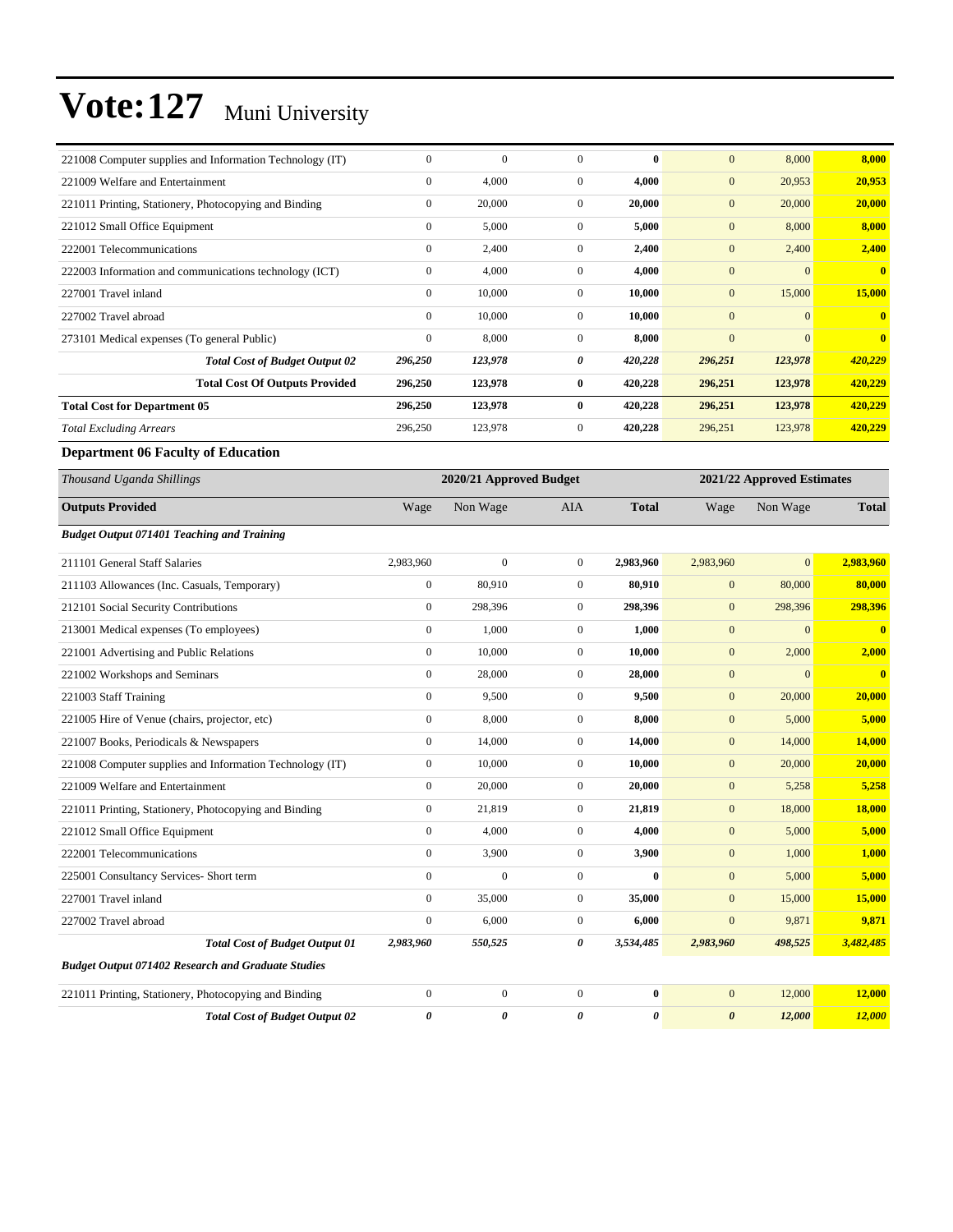| 221008 Computer supplies and Information Technology (IT)  | $\boldsymbol{0}$ | $\mathbf{0}$            | $\mathbf{0}$     | $\bf{0}$         | $\boldsymbol{0}$ | 8,000                      | 8,000                   |
|-----------------------------------------------------------|------------------|-------------------------|------------------|------------------|------------------|----------------------------|-------------------------|
| 221009 Welfare and Entertainment                          | $\boldsymbol{0}$ | 4,000                   | $\boldsymbol{0}$ | 4,000            | $\boldsymbol{0}$ | 20,953                     | 20,953                  |
| 221011 Printing, Stationery, Photocopying and Binding     | $\boldsymbol{0}$ | 20,000                  | $\boldsymbol{0}$ | 20,000           | $\mathbf{0}$     | 20,000                     | 20,000                  |
| 221012 Small Office Equipment                             | $\boldsymbol{0}$ | 5,000                   | $\boldsymbol{0}$ | 5,000            | $\mathbf{0}$     | 8,000                      | 8,000                   |
| 222001 Telecommunications                                 | $\boldsymbol{0}$ | 2,400                   | $\boldsymbol{0}$ | 2,400            | $\mathbf{0}$     | 2,400                      | 2,400                   |
| 222003 Information and communications technology (ICT)    | $\boldsymbol{0}$ | 4,000                   | $\boldsymbol{0}$ | 4,000            | $\mathbf{0}$     | $\mathbf{0}$               | $\mathbf{0}$            |
| 227001 Travel inland                                      | $\boldsymbol{0}$ | 10,000                  | $\boldsymbol{0}$ | 10,000           | $\mathbf{0}$     | 15,000                     | 15,000                  |
| 227002 Travel abroad                                      | $\boldsymbol{0}$ | 10,000                  | $\boldsymbol{0}$ | 10,000           | $\boldsymbol{0}$ | $\boldsymbol{0}$           | $\bf{0}$                |
| 273101 Medical expenses (To general Public)               | $\boldsymbol{0}$ | 8,000                   | $\boldsymbol{0}$ | 8,000            | $\mathbf{0}$     | $\mathbf{0}$               | $\bf{0}$                |
| <b>Total Cost of Budget Output 02</b>                     | 296,250          | 123,978                 | 0                | 420,228          | 296,251          | 123,978                    | 420,229                 |
| <b>Total Cost Of Outputs Provided</b>                     | 296,250          | 123,978                 | $\bf{0}$         | 420,228          | 296,251          | 123,978                    | 420,229                 |
| <b>Total Cost for Department 05</b>                       | 296,250          | 123,978                 | $\bf{0}$         | 420,228          | 296,251          | 123,978                    | 420,229                 |
| <b>Total Excluding Arrears</b>                            | 296,250          | 123,978                 | $\boldsymbol{0}$ | 420,228          | 296,251          | 123,978                    | 420,229                 |
| <b>Department 06 Faculty of Education</b>                 |                  |                         |                  |                  |                  |                            |                         |
| Thousand Uganda Shillings                                 |                  | 2020/21 Approved Budget |                  |                  |                  | 2021/22 Approved Estimates |                         |
| <b>Outputs Provided</b>                                   | Wage             | Non Wage                | <b>AIA</b>       | <b>Total</b>     | Wage             | Non Wage                   | <b>Total</b>            |
| <b>Budget Output 071401 Teaching and Training</b>         |                  |                         |                  |                  |                  |                            |                         |
| 211101 General Staff Salaries                             | 2,983,960        | $\mathbf{0}$            | $\boldsymbol{0}$ | 2,983,960        | 2,983,960        | $\mathbf{0}$               | 2,983,960               |
| 211103 Allowances (Inc. Casuals, Temporary)               | $\boldsymbol{0}$ | 80,910                  | $\boldsymbol{0}$ | 80,910           | $\mathbf{0}$     | 80,000                     | 80,000                  |
| 212101 Social Security Contributions                      | $\boldsymbol{0}$ | 298,396                 | $\mathbf{0}$     | 298,396          | $\mathbf{0}$     | 298,396                    | 298,396                 |
| 213001 Medical expenses (To employees)                    | $\boldsymbol{0}$ | 1,000                   | $\boldsymbol{0}$ | 1,000            | $\mathbf{0}$     | $\boldsymbol{0}$           | $\bf{0}$                |
| 221001 Advertising and Public Relations                   | $\boldsymbol{0}$ | 10,000                  | $\boldsymbol{0}$ | 10,000           | $\mathbf{0}$     | 2,000                      | 2,000                   |
| 221002 Workshops and Seminars                             | $\boldsymbol{0}$ | 28,000                  | $\boldsymbol{0}$ | 28,000           | $\boldsymbol{0}$ | $\mathbf{0}$               | $\overline{\mathbf{0}}$ |
| 221003 Staff Training                                     | $\boldsymbol{0}$ | 9,500                   | $\boldsymbol{0}$ | 9,500            | $\mathbf{0}$     | 20,000                     | 20,000                  |
| 221005 Hire of Venue (chairs, projector, etc)             | $\boldsymbol{0}$ | 8,000                   | $\boldsymbol{0}$ | 8,000            | $\mathbf{0}$     | 5,000                      | 5,000                   |
| 221007 Books, Periodicals & Newspapers                    | $\boldsymbol{0}$ | 14,000                  | $\boldsymbol{0}$ | 14,000           | $\mathbf{0}$     | 14,000                     | 14,000                  |
| 221008 Computer supplies and Information Technology (IT)  | $\boldsymbol{0}$ | 10,000                  | $\boldsymbol{0}$ | 10,000           | $\mathbf{0}$     | 20,000                     | 20,000                  |
| 221009 Welfare and Entertainment                          | $\boldsymbol{0}$ | 20,000                  | $\boldsymbol{0}$ | 20,000           | $\mathbf{0}$     | 5,258                      | 5,258                   |
| 221011 Printing, Stationery, Photocopying and Binding     | $\boldsymbol{0}$ | 21,819                  | $\boldsymbol{0}$ | 21,819           | $\mathbf{0}$     | 18,000                     | 18,000                  |
| 221012 Small Office Equipment                             | $\boldsymbol{0}$ | 4,000                   | $\boldsymbol{0}$ | 4,000            | $\boldsymbol{0}$ | 5,000                      | 5,000                   |
| 222001 Telecommunications                                 | $\boldsymbol{0}$ | 3,900                   | $\boldsymbol{0}$ | 3,900            | $\boldsymbol{0}$ | 1,000                      | 1,000                   |
| 225001 Consultancy Services- Short term                   | $\boldsymbol{0}$ | $\boldsymbol{0}$        | $\mathbf{0}$     | $\bf{0}$         | $\mathbf{0}$     | 5,000                      | 5,000                   |
| 227001 Travel inland                                      | $\boldsymbol{0}$ | 35,000                  | $\boldsymbol{0}$ | 35,000           | $\mathbf{0}$     | 15,000                     | 15,000                  |
| 227002 Travel abroad                                      | $\boldsymbol{0}$ | 6,000                   | $\boldsymbol{0}$ | 6,000            | $\boldsymbol{0}$ | 9,871                      | 9,871                   |
| <b>Total Cost of Budget Output 01</b>                     | 2,983,960        | 550,525                 | 0                | 3,534,485        | 2,983,960        | 498,525                    | 3,482,485               |
| <b>Budget Output 071402 Research and Graduate Studies</b> |                  |                         |                  |                  |                  |                            |                         |
| 221011 Printing, Stationery, Photocopying and Binding     | $\boldsymbol{0}$ | $\boldsymbol{0}$        | $\boldsymbol{0}$ | $\boldsymbol{0}$ | $\mathbf{0}$     | 12,000                     | 12,000                  |
| <b>Total Cost of Budget Output 02</b>                     | 0                | 0                       | 0                | 0                | $\pmb{\theta}$   | 12,000                     | <b>12,000</b>           |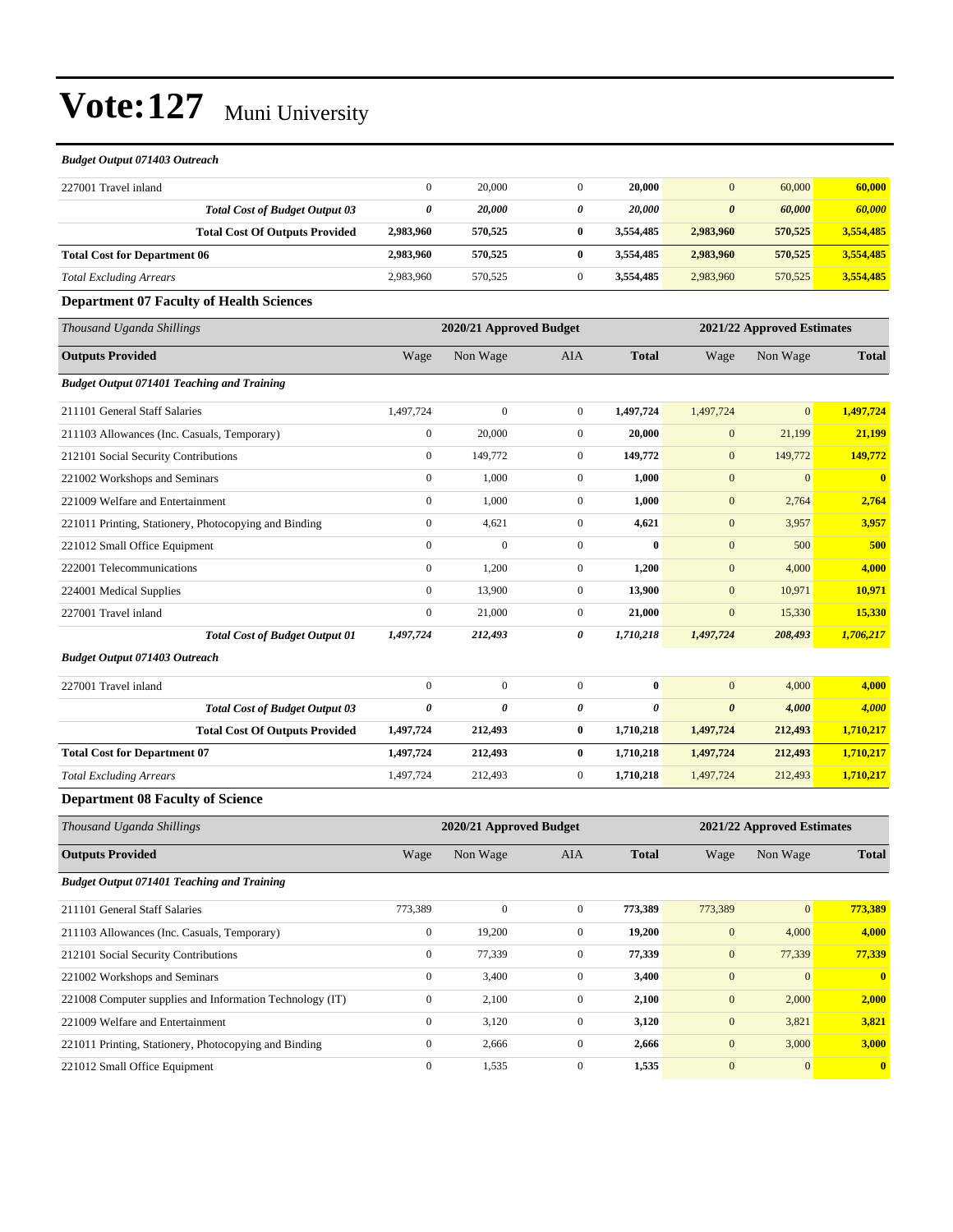#### *Budget Output 071403 Outreach*

| 227001 Travel inland                                  | $\overline{0}$          | 20,000                  | $\mathbf{0}$     | 20,000                | $\mathbf{0}$               | 60,000         | 60,000                  |
|-------------------------------------------------------|-------------------------|-------------------------|------------------|-----------------------|----------------------------|----------------|-------------------------|
| <b>Total Cost of Budget Output 03</b>                 | 0                       | 20,000                  | 0                | 20,000                | $\boldsymbol{\theta}$      | 60,000         | 60,000                  |
| <b>Total Cost Of Outputs Provided</b>                 | 2,983,960               | 570,525                 | $\bf{0}$         | 3,554,485             | 2,983,960                  | 570,525        | 3,554,485               |
| <b>Total Cost for Department 06</b>                   | 2,983,960               | 570,525                 | $\bf{0}$         | 3,554,485             | 2,983,960                  | 570,525        | 3,554,485               |
| <b>Total Excluding Arrears</b>                        | 2,983,960               | 570,525                 | $\boldsymbol{0}$ | 3,554,485             | 2,983,960                  | 570,525        | 3,554,485               |
| <b>Department 07 Faculty of Health Sciences</b>       |                         |                         |                  |                       |                            |                |                         |
| Thousand Uganda Shillings                             |                         | 2020/21 Approved Budget |                  |                       | 2021/22 Approved Estimates |                |                         |
| <b>Outputs Provided</b>                               | Wage                    | Non Wage                | AIA              | <b>Total</b>          | Wage                       | Non Wage       | <b>Total</b>            |
| <b>Budget Output 071401 Teaching and Training</b>     |                         |                         |                  |                       |                            |                |                         |
| 211101 General Staff Salaries                         | 1,497,724               | $\mathbf{0}$            | $\boldsymbol{0}$ | 1,497,724             | 1,497,724                  | $\overline{0}$ | 1,497,724               |
| 211103 Allowances (Inc. Casuals, Temporary)           | $\boldsymbol{0}$        | 20,000                  | $\boldsymbol{0}$ | 20,000                | $\boldsymbol{0}$           | 21,199         | 21,199                  |
| 212101 Social Security Contributions                  | $\boldsymbol{0}$        | 149,772                 | $\boldsymbol{0}$ | 149,772               | $\mathbf{0}$               | 149,772        | 149,772                 |
| 221002 Workshops and Seminars                         | $\overline{0}$          | 1,000                   | $\boldsymbol{0}$ | 1,000                 | $\mathbf{0}$               | $\overline{0}$ | $\overline{\mathbf{0}}$ |
| 221009 Welfare and Entertainment                      | $\boldsymbol{0}$        | 1,000                   | $\boldsymbol{0}$ | 1,000                 | $\mathbf{0}$               | 2,764          | 2,764                   |
| 221011 Printing, Stationery, Photocopying and Binding | $\overline{0}$          | 4,621                   | $\mathbf{0}$     | 4,621                 | $\mathbf{0}$               | 3,957          | 3,957                   |
| 221012 Small Office Equipment                         | $\overline{0}$          | $\mathbf{0}$            | $\boldsymbol{0}$ | $\bf{0}$              | $\mathbf{0}$               | 500            | 500                     |
| 222001 Telecommunications                             | $\overline{0}$          | 1,200                   | $\boldsymbol{0}$ | 1,200                 | $\mathbf{0}$               | 4,000          | 4,000                   |
| 224001 Medical Supplies                               | $\boldsymbol{0}$        | 13,900                  | $\mathbf{0}$     | 13,900                | $\mathbf{0}$               | 10,971         | 10,971                  |
| 227001 Travel inland                                  | $\overline{0}$          | 21,000                  | $\boldsymbol{0}$ | 21,000                | $\mathbf{0}$               | 15,330         | 15,330                  |
| <b>Total Cost of Budget Output 01</b>                 | 1,497,724               | 212,493                 | $\pmb{\theta}$   | 1,710,218             | 1,497,724                  | 208,493        | 1,706,217               |
| <b>Budget Output 071403 Outreach</b>                  |                         |                         |                  |                       |                            |                |                         |
| 227001 Travel inland                                  | $\overline{0}$          | $\mathbf{0}$            | $\mathbf{0}$     | $\bf{0}$              | $\mathbf{0}$               | 4,000          | 4,000                   |
| <b>Total Cost of Budget Output 03</b>                 | 0                       | $\boldsymbol{\theta}$   | 0                | $\boldsymbol{\theta}$ | $\boldsymbol{\theta}$      | 4,000          | 4,000                   |
| <b>Total Cost Of Outputs Provided</b>                 | 1,497,724               | 212,493                 | $\bf{0}$         | 1,710,218             | 1,497,724                  | 212,493        | 1,710,217               |
| <b>Total Cost for Department 07</b>                   | 1,497,724               | 212,493                 | $\bf{0}$         | 1,710,218             | 1,497,724                  | 212,493        | 1,710,217               |
| <b>Total Excluding Arrears</b>                        | 1,497,724               | 212,493                 | $\mathbf{0}$     | 1,710,218             | 1,497,724                  | 212,493        | 1,710,217               |
| <b>Department 08 Faculty of Science</b>               |                         |                         |                  |                       |                            |                |                         |
| Thousand Uganda Shillings                             | 2020/21 Approved Budget |                         |                  |                       | 2021/22 Approved Estimates |                |                         |
| <b>Outputs Provided</b>                               | Wage                    | Non Wage                | AIA              | <b>Total</b>          | Wage                       | Non Wage       | <b>Total</b>            |
| <b>Budget Output 071401 Teaching and Training</b>     |                         |                         |                  |                       |                            |                |                         |
| 211101 General Staff Salaries                         | 773,389                 | $\mathbf{0}$            | $\mathbf{0}$     | 773,389               | 773,389                    | $\overline{0}$ | 773,389                 |

| 211101 General Staff Salaries                            | 775.589 | v      | v        | 773.389 | 115.389      | U.             | 773.389      |
|----------------------------------------------------------|---------|--------|----------|---------|--------------|----------------|--------------|
| 211103 Allowances (Inc. Casuals, Temporary)              |         | 19.200 | $\Omega$ | 19.200  | $\mathbf{0}$ | 4.000          | 4,000        |
| 212101 Social Security Contributions                     |         | 77.339 | 0        | 77.339  | $\mathbf{0}$ | 77,339         | 77,339       |
| 221002 Workshops and Seminars                            |         | 3.400  | 0        | 3.400   | $\mathbf{0}$ | $\overline{0}$ | $\bf{0}$     |
| 221008 Computer supplies and Information Technology (IT) |         | 2.100  | 0        | 2.100   | $\mathbf{0}$ | 2.000          | 2.000        |
| 221009 Welfare and Entertainment                         |         | 3.120  | $\Omega$ | 3.120   | $\Omega$     | 3,821          | 3.821        |
| 221011 Printing, Stationery, Photocopying and Binding    |         | 2.666  | $\Omega$ | 2.666   | $\Omega$     | 3,000          | 3,000        |
| 221012 Small Office Equipment                            |         | 1.535  | $\Omega$ | 1.535   | $\Omega$     | $\overline{0}$ | $\mathbf{0}$ |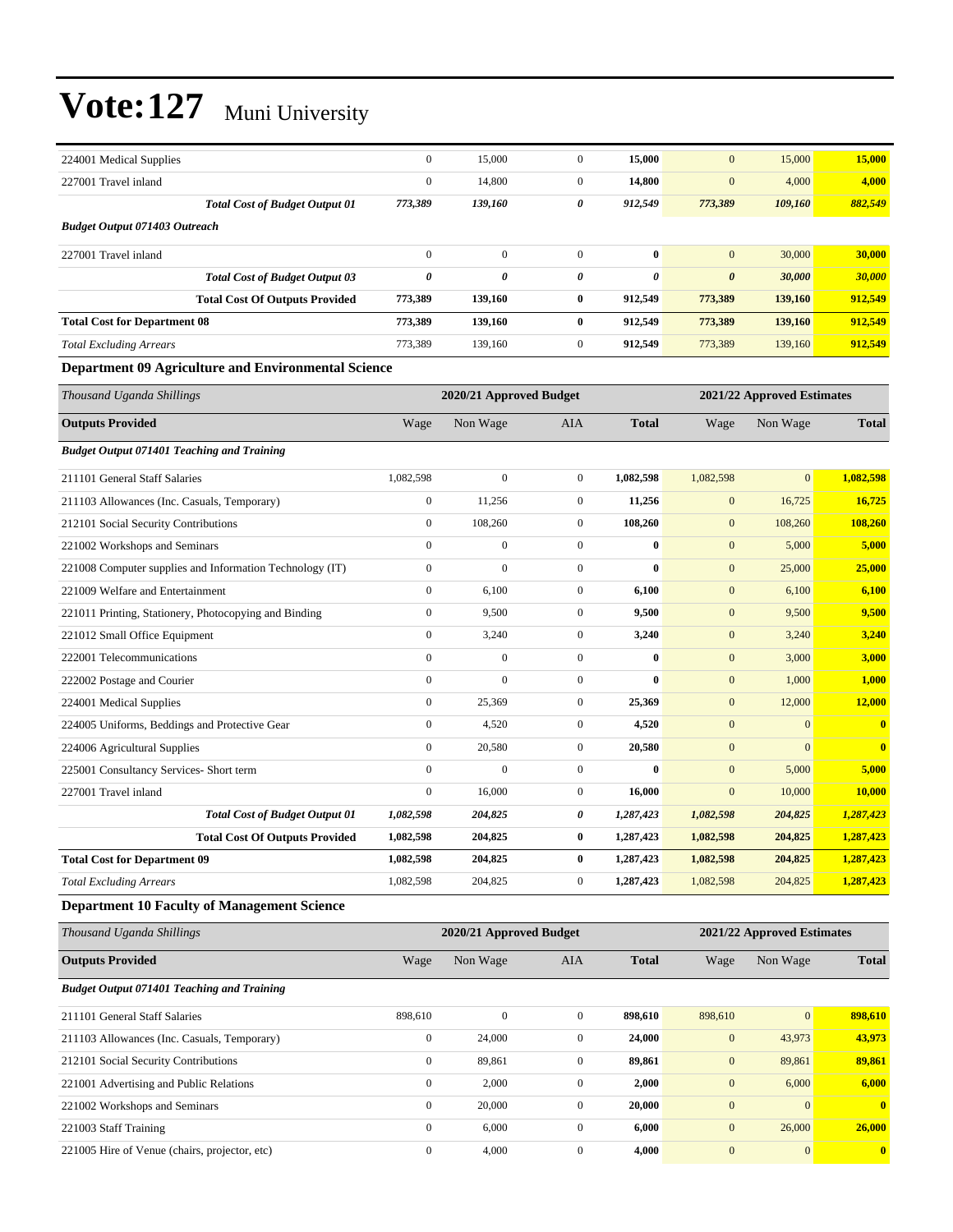| 224001 Medical Supplies                                    | $\boldsymbol{0}$      | 15,000                  | $\boldsymbol{0}$ | 15,000       | $\mathbf{0}$          | 15,000                     | 15,000                     |  |  |
|------------------------------------------------------------|-----------------------|-------------------------|------------------|--------------|-----------------------|----------------------------|----------------------------|--|--|
| 227001 Travel inland                                       | $\boldsymbol{0}$      | 14,800                  | $\boldsymbol{0}$ | 14,800       | $\boldsymbol{0}$      | 4,000                      | 4,000                      |  |  |
| <b>Total Cost of Budget Output 01</b>                      | 773,389               | 139,160                 | 0                | 912,549      | 773,389               | 109,160                    | 882,549                    |  |  |
| <b>Budget Output 071403 Outreach</b>                       |                       |                         |                  |              |                       |                            |                            |  |  |
| 227001 Travel inland                                       | $\boldsymbol{0}$      | $\boldsymbol{0}$        | $\mathbf{0}$     | $\bf{0}$     | $\mathbf{0}$          | 30,000                     | 30,000                     |  |  |
| <b>Total Cost of Budget Output 03</b>                      | $\boldsymbol{\theta}$ | 0                       | 0                | 0            | $\boldsymbol{\theta}$ | 30,000                     | 30,000                     |  |  |
| <b>Total Cost Of Outputs Provided</b>                      | 773,389               | 139,160                 | $\bf{0}$         | 912,549      | 773,389               | 139,160                    | 912,549                    |  |  |
| <b>Total Cost for Department 08</b>                        | 773,389               | 139,160                 | $\bf{0}$         | 912,549      | 773,389               | 139,160                    | 912,549                    |  |  |
| <b>Total Excluding Arrears</b>                             | 773,389               | 139,160                 | $\mathbf{0}$     | 912,549      | 773,389               | 139,160                    | 912,549                    |  |  |
| <b>Department 09 Agriculture and Environmental Science</b> |                       |                         |                  |              |                       |                            |                            |  |  |
| Thousand Uganda Shillings                                  |                       | 2020/21 Approved Budget |                  |              |                       |                            | 2021/22 Approved Estimates |  |  |
| <b>Outputs Provided</b>                                    | Wage                  | Non Wage                | <b>AIA</b>       | <b>Total</b> | Wage                  | Non Wage                   | <b>Total</b>               |  |  |
| <b>Budget Output 071401 Teaching and Training</b>          |                       |                         |                  |              |                       |                            |                            |  |  |
| 211101 General Staff Salaries                              | 1,082,598             | $\boldsymbol{0}$        | $\mathbf{0}$     | 1,082,598    | 1,082,598             | $\mathbf{0}$               | 1,082,598                  |  |  |
| 211103 Allowances (Inc. Casuals, Temporary)                | $\boldsymbol{0}$      | 11,256                  | $\boldsymbol{0}$ | 11,256       | $\boldsymbol{0}$      | 16,725                     | 16,725                     |  |  |
| 212101 Social Security Contributions                       | $\boldsymbol{0}$      | 108,260                 | $\boldsymbol{0}$ | 108,260      | $\boldsymbol{0}$      | 108,260                    | 108,260                    |  |  |
| 221002 Workshops and Seminars                              | $\mathbf{0}$          | $\mathbf{0}$            | $\boldsymbol{0}$ | $\bf{0}$     | $\mathbf{0}$          | 5,000                      | 5,000                      |  |  |
| 221008 Computer supplies and Information Technology (IT)   | $\boldsymbol{0}$      | $\mathbf{0}$            | $\mathbf{0}$     | $\bf{0}$     | $\mathbf{0}$          | 25,000                     | 25,000                     |  |  |
| 221009 Welfare and Entertainment                           | $\boldsymbol{0}$      | 6,100                   | $\boldsymbol{0}$ | 6,100        | $\mathbf{0}$          | 6,100                      | 6,100                      |  |  |
| 221011 Printing, Stationery, Photocopying and Binding      | $\boldsymbol{0}$      | 9,500                   | $\boldsymbol{0}$ | 9,500        | $\boldsymbol{0}$      | 9,500                      | 9,500                      |  |  |
| 221012 Small Office Equipment                              | $\boldsymbol{0}$      | 3,240                   | $\boldsymbol{0}$ | 3,240        | $\mathbf{0}$          | 3,240                      | 3,240                      |  |  |
| 222001 Telecommunications                                  | $\boldsymbol{0}$      | $\boldsymbol{0}$        | $\mathbf{0}$     | $\bf{0}$     | $\mathbf{0}$          | 3,000                      | 3,000                      |  |  |
| 222002 Postage and Courier                                 | $\boldsymbol{0}$      | $\mathbf{0}$            | $\boldsymbol{0}$ | $\bf{0}$     | $\mathbf{0}$          | 1,000                      | 1,000                      |  |  |
| 224001 Medical Supplies                                    | $\boldsymbol{0}$      | 25,369                  | $\boldsymbol{0}$ | 25,369       | $\boldsymbol{0}$      | 12,000                     | <b>12,000</b>              |  |  |
| 224005 Uniforms, Beddings and Protective Gear              | $\boldsymbol{0}$      | 4,520                   | $\boldsymbol{0}$ | 4,520        | $\boldsymbol{0}$      | $\mathbf{0}$               | $\bf{0}$                   |  |  |
| 224006 Agricultural Supplies                               | $\boldsymbol{0}$      | 20,580                  | $\boldsymbol{0}$ | 20,580       | $\mathbf{0}$          | $\mathbf{0}$               | $\mathbf{0}$               |  |  |
| 225001 Consultancy Services- Short term                    | $\boldsymbol{0}$      | $\mathbf{0}$            | $\mathbf{0}$     | $\bf{0}$     | $\boldsymbol{0}$      | 5,000                      | 5,000                      |  |  |
| 227001 Travel inland                                       | $\boldsymbol{0}$      | 16,000                  | $\mathbf{0}$     | 16,000       | $\mathbf{0}$          | 10,000                     | 10,000                     |  |  |
| <b>Total Cost of Budget Output 01</b>                      | 1,082,598             | 204,825                 | 0                | 1,287,423    | 1,082,598             | 204,825                    | 1,287,423                  |  |  |
| <b>Total Cost Of Outputs Provided</b>                      | 1,082,598             | 204,825                 | $\bf{0}$         | 1,287,423    | 1,082,598             | 204,825                    | 1,287,423                  |  |  |
| <b>Total Cost for Department 09</b>                        | 1,082,598             | 204,825                 | $\bf{0}$         | 1,287,423    | 1,082,598             | 204,825                    | 1,287,423                  |  |  |
| <b>Total Excluding Arrears</b>                             | 1,082,598             | 204,825                 | $\boldsymbol{0}$ | 1,287,423    | 1,082,598             | 204,825                    | 1,287,423                  |  |  |
| <b>Department 10 Faculty of Management Science</b>         |                       |                         |                  |              |                       |                            |                            |  |  |
| Thousand Uganda Shillings                                  |                       | 2020/21 Approved Budget |                  |              |                       | 2021/22 Approved Estimates |                            |  |  |
| <b>Outputs Provided</b>                                    | Wage                  | Non Wage                | AIA              | <b>Total</b> | Wage                  | Non Wage                   | <b>Total</b>               |  |  |
| <b>Budget Output 071401 Teaching and Training</b>          |                       |                         |                  |              |                       |                            |                            |  |  |
| 211101 General Staff Salaries                              | 898,610               | $\boldsymbol{0}$        | $\mathbf{0}$     | 898,610      | 898,610               | $\boldsymbol{0}$           | 898,610                    |  |  |
| 211103 Allowances (Inc. Casuals, Temporary)                | $\boldsymbol{0}$      | 24,000                  | $\boldsymbol{0}$ | 24,000       | $\boldsymbol{0}$      | 43,973                     | 43,973                     |  |  |
| 212101 Social Security Contributions                       | $\boldsymbol{0}$      | 89,861                  | $\boldsymbol{0}$ | 89,861       | $\boldsymbol{0}$      | 89,861                     | 89,861                     |  |  |
| 221001 Advertising and Public Relations                    | $\boldsymbol{0}$      | 2,000                   | $\boldsymbol{0}$ | 2,000        | $\mathbf{0}$          | 6,000                      | 6,000                      |  |  |
| 221002 Workshops and Seminars                              | $\boldsymbol{0}$      | 20,000                  | $\boldsymbol{0}$ | 20,000       | $\boldsymbol{0}$      | $\mathbf{0}$               | $\bf{0}$                   |  |  |
| 221003 Staff Training                                      | $\boldsymbol{0}$      | 6,000                   | $\boldsymbol{0}$ | 6,000        | $\mathbf{0}$          | 26,000                     | 26,000                     |  |  |
| 221005 Hire of Venue (chairs, projector, etc)              | $\boldsymbol{0}$      | 4,000                   | $\mathbf{0}$     | 4,000        | $\boldsymbol{0}$      | $\mathbf{0}$               | $\bf{0}$                   |  |  |